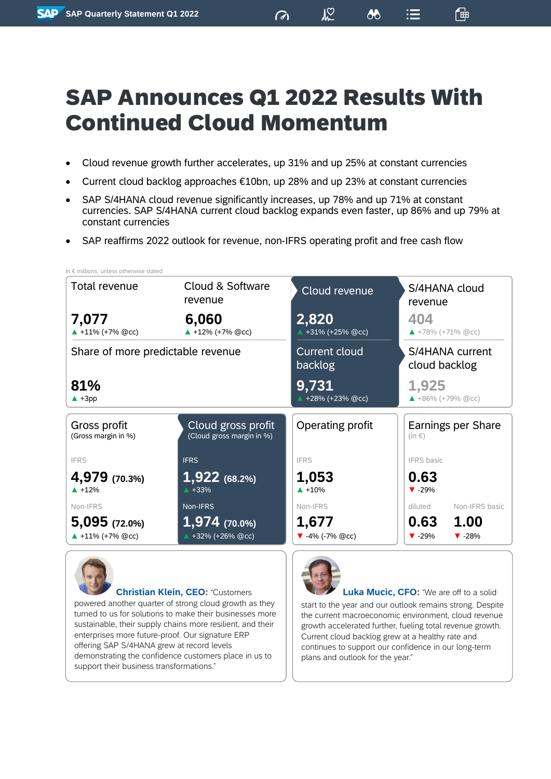# SAP Announces Q1 2022 Results With Continued Cloud Momentum

 $\sigma$ 

 $\sqrt{2}$ 

 $\lambda$ 

 $\mathrel{\mathop:}=$ 

価

- Cloud revenue growth further accelerates, up 31% and up 25% at constant currencies
- Current cloud backlog approaches  $£10$ bn, up 28% and up 23% at constant currencies
- SAP S/4HANA cloud revenue significantly increases, up 78% and up 71% at constant currencies. SAP S/4HANA current cloud backlog expands even faster, up 86% and up 79% at constant currencies
- SAP reaffirms 2022 outlook for revenue, non-IFRS operating profit and free cash flow



turned to us for solutions to make their businesses more sustainable, their supply chains more resilient, and their enterprises more future-proof. Our signature ERP offering SAP S/4HANA grew at record levels demonstrating the confidence customers place in us to support their business transformations."

the current macroeconomic environment, cloud revenue growth accelerated further, fueling total revenue growth. Current cloud backlog grew at a healthy rate and continues to support our confidence in our long-term plans and outlook for the year."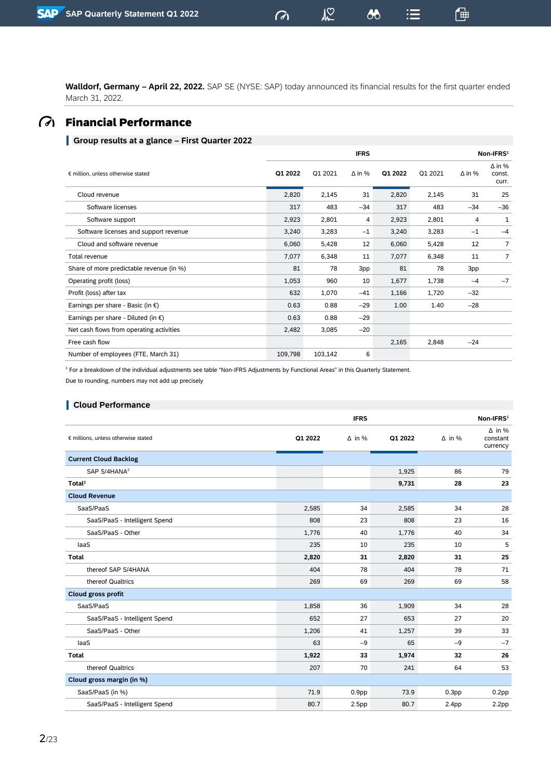**Walldorf, Germany – April 22, 2022.** SAP SE (NYSE: SAP) today announced its financial results for the first quarter ended March 31, 2022.

 $\sigma$ 

 $M<sup>o</sup>$ 

 $\boldsymbol{\delta\delta}$ 

 $\mathrel{\mathop:}=$ 

一

# Financial Performance

### **Group results at a glance – First Quarter 2022**

|                                               |         |         | <b>IFRS</b>   |         |         |               | Non-IFRS <sup>1</sup>            |
|-----------------------------------------------|---------|---------|---------------|---------|---------|---------------|----------------------------------|
| € million, unless otherwise stated            | Q1 2022 | Q1 2021 | $\Delta$ in % | Q1 2022 | Q1 2021 | $\Delta$ in % | $\Delta$ in %<br>const.<br>curr. |
| Cloud revenue                                 | 2,820   | 2,145   | 31            | 2,820   | 2,145   | 31            | 25                               |
| Software licenses                             | 317     | 483     | $-34$         | 317     | 483     | $-34$         | $-36$                            |
| Software support                              | 2,923   | 2,801   | 4             | 2,923   | 2,801   | 4             | 1                                |
| Software licenses and support revenue         | 3,240   | 3,283   | $-1$          | 3,240   | 3,283   | $-1$          | $-4$                             |
| Cloud and software revenue                    | 6,060   | 5,428   | 12            | 6,060   | 5,428   | 12            | 7                                |
| Total revenue                                 | 7,077   | 6,348   | 11            | 7,077   | 6,348   | 11            | $\overline{7}$                   |
| Share of more predictable revenue (in %)      | 81      | 78      | 3pp           | 81      | 78      | 3pp           |                                  |
| Operating profit (loss)                       | 1,053   | 960     | 10            | 1,677   | 1,738   | $-4$          | $-7$                             |
| Profit (loss) after tax                       | 632     | 1,070   | $-41$         | 1,166   | 1,720   | $-32$         |                                  |
| Earnings per share - Basic (in $\epsilon$ )   | 0.63    | 0.88    | $-29$         | 1.00    | 1.40    | $-28$         |                                  |
| Earnings per share - Diluted (in $\epsilon$ ) | 0.63    | 0.88    | $-29$         |         |         |               |                                  |
| Net cash flows from operating activities      | 2,482   | 3,085   | $-20$         |         |         |               |                                  |
| Free cash flow                                |         |         |               | 2,165   | 2,848   | $-24$         |                                  |
| Number of employees (FTE, March 31)           | 109,798 | 103,142 | 6             |         |         |               |                                  |

<sup>1</sup> For a breakdown of the individual adjustments see table "Non-IFRS Adjustments by Functional Areas" in this Quarterly Statement. Due to rounding, numbers may not add up precisely

#### **Cloud Performance**

|                                     |         | <b>IFRS</b>       |         |                   | Non-IFRS <sup>1</sup>                 |
|-------------------------------------|---------|-------------------|---------|-------------------|---------------------------------------|
| € millions, unless otherwise stated | Q1 2022 | $\Delta$ in %     | Q1 2022 | $\Delta$ in %     | $\Delta$ in %<br>constant<br>currency |
| <b>Current Cloud Backlog</b>        |         |                   |         |                   |                                       |
| SAP S/4HANA <sup>2</sup>            |         |                   | 1,925   | 86                | 79                                    |
| Total <sup>2</sup>                  |         |                   | 9,731   | 28                | 23                                    |
| <b>Cloud Revenue</b>                |         |                   |         |                   |                                       |
| SaaS/PaaS                           | 2,585   | 34                | 2,585   | 34                | 28                                    |
| SaaS/PaaS - Intelligent Spend       | 808     | 23                | 808     | 23                | 16                                    |
| SaaS/PaaS - Other                   | 1,776   | 40                | 1,776   | 40                | 34                                    |
| laaS                                | 235     | 10                | 235     | 10                | 5                                     |
| <b>Total</b>                        | 2,820   | 31                | 2,820   | 31                | 25                                    |
| thereof SAP S/4HANA                 | 404     | 78                | 404     | 78                | 71                                    |
| thereof Qualtrics                   | 269     | 69                | 269     | 69                | 58                                    |
| <b>Cloud gross profit</b>           |         |                   |         |                   |                                       |
| SaaS/PaaS                           | 1,858   | 36                | 1,909   | 34                | 28                                    |
| SaaS/PaaS - Intelligent Spend       | 652     | 27                | 653     | 27                | 20                                    |
| SaaS/PaaS - Other                   | 1,206   | 41                | 1,257   | 39                | 33                                    |
| laaS                                | 63      | $-9$              | 65      | $-9$              | $-7$                                  |
| <b>Total</b>                        | 1,922   | 33                | 1,974   | 32                | 26                                    |
| thereof Qualtrics                   | 207     | 70                | 241     | 64                | 53                                    |
| Cloud gross margin (in %)           |         |                   |         |                   |                                       |
| SaaS/PaaS (in %)                    | 71.9    | 0.9 <sub>pp</sub> | 73.9    | 0.3 <sub>pp</sub> | 0.2pp                                 |
| SaaS/PaaS - Intelligent Spend       | 80.7    | 2.5 <sub>pp</sub> | 80.7    | 2.4 <sub>pp</sub> | 2.2pp                                 |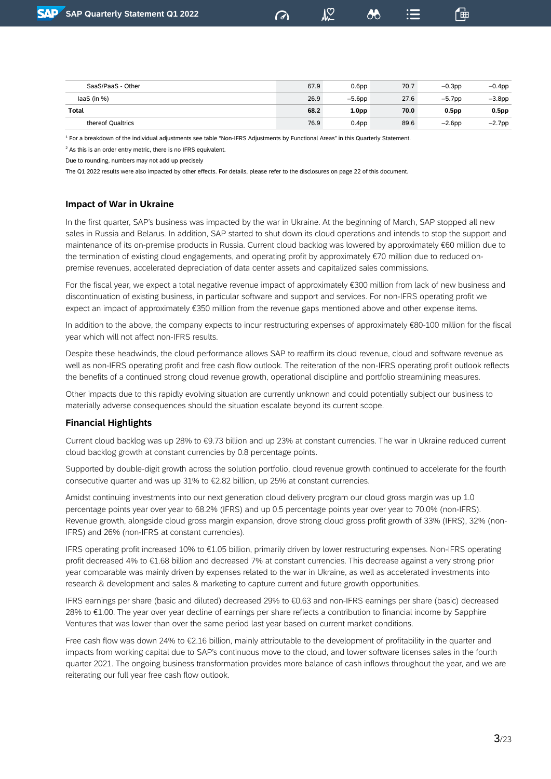$\mathcal{V}_{\infty}$ 

「曲

| SaaS/PaaS - Other | 67.9 | 0.6 <sub>pp</sub> | 70.7 | $-0.3$ pp         | $-0.4$ pp |
|-------------------|------|-------------------|------|-------------------|-----------|
| laaS (in $%$ )    | 26.9 | $-5.6$ pp         | 27.6 | $-5.7$ pp         | $-3.8pp$  |
| Total             | 68.2 | 1.0 <sub>pp</sub> | 70.0 | 0.5 <sub>pp</sub> | 0.5pp     |
| thereof Qualtrics | 76.9 | 0.4 <sub>pp</sub> | 89.6 | $-2.6$ pp         | $-2.7$ pp |

<sup>1</sup> For a breakdown of the individual adjustments see table "Non-IFRS Adjustments by Functional Areas" in this Quarterly Statement.

<sup>2</sup> As this is an order entry metric, there is no IFRS equivalent.

Due to rounding, numbers may not add up precisely

The Q1 2022 results were also impacted by other effects. For details, please refer to the disclosures on page 22 of this document.

### **Impact of War in Ukraine**

In the first quarter, SAP's business was impacted by the war in Ukraine. At the beginning of March, SAP stopped all new sales in Russia and Belarus. In addition, SAP started to shut down its cloud operations and intends to stop the support and maintenance of its on-premise products in Russia. Current cloud backlog was lowered by approximately €60 million due to the termination of existing cloud engagements, and operating profit by approximately €70 million due to reduced onpremise revenues, accelerated depreciation of data center assets and capitalized sales commissions.

For the fiscal year, we expect a total negative revenue impact of approximately €300 million from lack of new business and discontinuation of existing business, in particular software and support and services. For non-IFRS operating profit we expect an impact of approximately €350 million from the revenue gaps mentioned above and other expense items.

In addition to the above, the company expects to incur restructuring expenses of approximately €80-100 million for the fiscal year which will not affect non-IFRS results.

Despite these headwinds, the cloud performance allows SAP to reaffirm its cloud revenue, cloud and software revenue as well as non-IFRS operating profit and free cash flow outlook. The reiteration of the non-IFRS operating profit outlook reflects the benefits of a continued strong cloud revenue growth, operational discipline and portfolio streamlining measures.

Other impacts due to this rapidly evolving situation are currently unknown and could potentially subject our business to materially adverse consequences should the situation escalate beyond its current scope.

### **Financial Highlights**

Current cloud backlog was up 28% to €9.73 billion and up 23% at constant currencies. The war in Ukraine reduced current cloud backlog growth at constant currencies by 0.8 percentage points.

Supported by double-digit growth across the solution portfolio, cloud revenue growth continued to accelerate for the fourth consecutive quarter and was up 31% to €2.82 billion, up 25% at constant currencies.

Amidst continuing investments into our next generation cloud delivery program our cloud gross margin was up 1.0 percentage points year over year to 68.2% (IFRS) and up 0.5 percentage points year over year to 70.0% (non-IFRS). Revenue growth, alongside cloud gross margin expansion, drove strong cloud gross profit growth of 33% (IFRS), 32% (non-IFRS) and 26% (non-IFRS at constant currencies).

IFRS operating profit increased 10% to €1.05 billion, primarily driven by lower restructuring expenses. Non-IFRS operating profit decreased 4% to €1.68 billion and decreased 7% at constant currencies. This decrease against a very strong prior year comparable was mainly driven by expenses related to the war in Ukraine, as well as accelerated investments into research & development and sales & marketing to capture current and future growth opportunities.

IFRS earnings per share (basic and diluted) decreased 29% to €0.63 and non-IFRS earnings per share (basic) decreased 28% to €1.00. The year over year decline of earnings per share reflects a contribution to financial income by Sapphire Ventures that was lower than over the same period last year based on current market conditions.

Free cash flow was down 24% to €2.16 billion, mainly attributable to the development of profitability in the quarter and impacts from working capital due to SAP's continuous move to the cloud, and lower software licenses sales in the fourth quarter 2021. The ongoing business transformation provides more balance of cash inflows throughout the year, and we are reiterating our full year free cash flow outlook.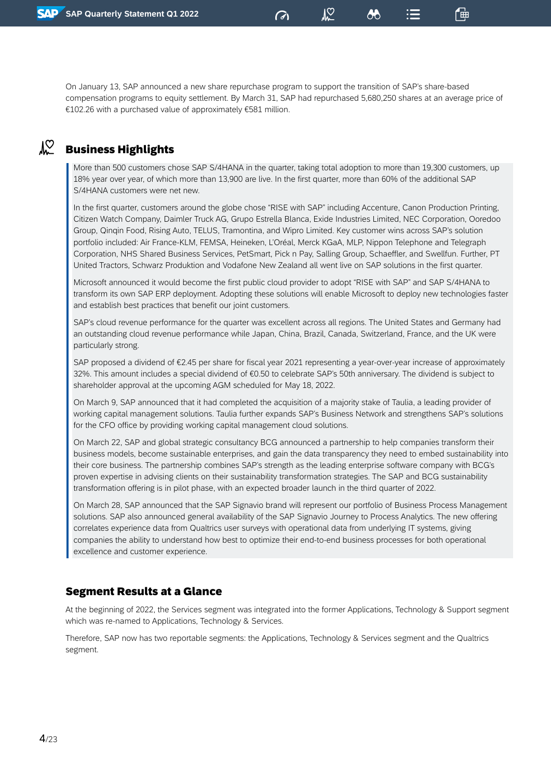On January 13, SAP announced a new share repurchase program to support the transition of SAP's share-based compensation programs to equity settlement. By March 31, SAP had repurchased 5,680,250 shares at an average price of €102.26 with a purchased value of approximately €581 million.

 $\sigma$ 

 $\sqrt{2}$ 

86

偘

#### $\sqrt{2}$ Business Highlights

More than 500 customers chose SAP S/4HANA in the quarter, taking total adoption to more than 19,300 customers, up 18% year over year, of which more than 13,900 are live. In the first quarter, more than 60% of the additional SAP S/4HANA customers were net new.

In the first quarter, customers around the globe chose "RISE with SAP" including Accenture, Canon Production Printing, Citizen Watch Company, Daimler Truck AG, Grupo Estrella Blanca, Exide Industries Limited, NEC Corporation, Ooredoo Group, Qinqin Food, Rising Auto, TELUS, Tramontina, and Wipro Limited. Key customer wins across SAP's solution portfolio included: Air France-KLM, FEMSA, Heineken, L'Oréal, Merck KGaA, MLP, Nippon Telephone and Telegraph Corporation, NHS Shared Business Services, PetSmart, Pick n Pay, Salling Group, Schaeffler, and Swellfun. Further, PT United Tractors, Schwarz Produktion and Vodafone New Zealand all went live on SAP solutions in the first quarter.

Microsoft announced it would become the first public cloud provider to adopt "RISE with SAP" and SAP S/4HANA to transform its own SAP ERP deployment. Adopting these solutions will enable Microsoft to deploy new technologies faster and establish best practices that benefit our joint customers.

SAP's cloud revenue performance for the quarter was excellent across all regions. The United States and Germany had an outstanding cloud revenue performance while Japan, China, Brazil, Canada, Switzerland, France, and the UK were particularly strong.

SAP proposed a dividend of €2.45 per share for fiscal year 2021 representing a year-over-year increase of approximately 32%. This amount includes a special dividend of €0.50 to celebrate SAP's 50th anniversary. The dividend is subject to shareholder approval at the upcoming AGM scheduled for May 18, 2022.

On March 9, SAP announced that it had completed the [acquisition](https://news.sap.com/2022/01/sap-to-acquire-taulia/) of a majority stake of Taulia, a leading provider of working capital management solutions. Taulia further expands SAP's Business Network and strengthens SAP's solutions for the CFO office by providing working capital management cloud solutions.

On March 22, SAP and global strategic consultancy BCG announced a partnership to help companies transform their business models, become sustainable enterprises, and gain the data transparency they need to embed sustainability into their core business. The partnership combines SAP's strength as the leading enterprise software company with BCG's proven expertise in advising clients on their sustainability transformation strategies. The SAP and BCG sustainability transformation offering is in pilot phase, with an expected broader launch in the third quarter of 2022.

On March 28, SAP announced that the SAP Signavio brand will represent our portfolio of Business Process Management solutions. SAP also announced general availability of the SAP Signavio Journey to Process Analytics. The new offering correlates experience data from Qualtrics user surveys with operational data from underlying IT systems, giving companies the ability to understand how best to optimize their end-to-end business processes for both operational excellence and customer experience.

### Segment Results at a Glance

At the beginning of 2022, the Services segment was integrated into the former Applications, Technology & Support segment which was re-named to Applications, Technology & Services.

Therefore, SAP now has two reportable segments: the Applications, Technology & Services segment and the Qualtrics segment.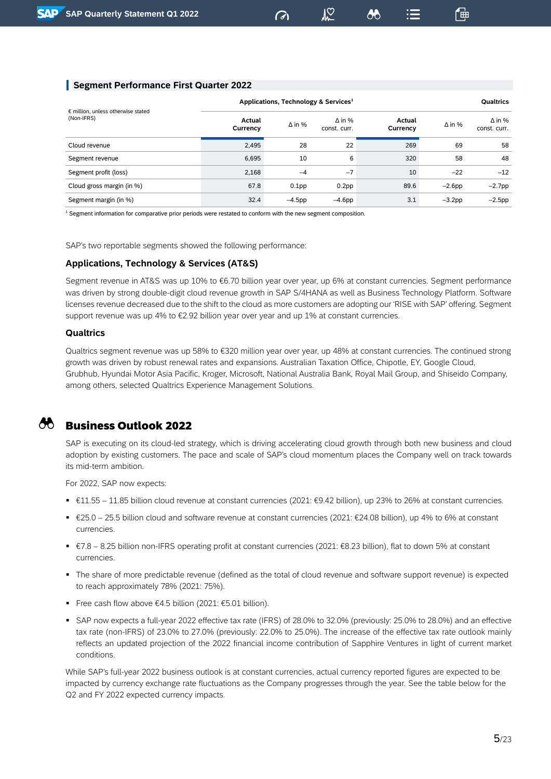### **Segment Performance First Quarter 2022**

|                                                           | Applications, Technology & Services <sup>1</sup> | <b>Qualtrics</b>  |                               |                    |               |                               |
|-----------------------------------------------------------|--------------------------------------------------|-------------------|-------------------------------|--------------------|---------------|-------------------------------|
| $\epsilon$ million, unless otherwise stated<br>(Non-IFRS) | Actual<br>Currency                               | $\Delta$ in %     | $\Delta$ in %<br>const. curr. | Actual<br>Currency | $\Delta$ in % | $\Delta$ in %<br>const. curr. |
| Cloud revenue                                             | 2,495                                            | 28                | 22                            | 269                | 69            | 58                            |
| Segment revenue                                           | 6,695                                            | 10                | 6                             | 320                | 58            | 48                            |
| Segment profit (loss)                                     | 2.168                                            | $-4$              | $-7$                          | 10                 | $-22$         | $-12$                         |
| Cloud gross margin (in %)                                 | 67.8                                             | 0.1 <sub>pp</sub> | 0.2 <sub>pp</sub>             | 89.6               | $-2.6$ pp     | $-2.7$ pp                     |
| Segment margin (in %)                                     | 32.4                                             | –4.5pp            | $-4.6$ pp                     | 3.1                | $-3.2$ pp     | $-2.5$ pp                     |

 $\sigma$ 

 $\mathcal{V}_{\infty}$ 

ුදු

「曲

 $1$  Segment information for comparative prior periods were restated to conform with the new segment composition.

SAP's two reportable segments showed the following performance:

#### **Applications, Technology & Services (AT&S)**

Segment revenue in AT&S was up 10% to €6.70 billion year over year, up 6% at constant currencies. Segment performance was driven by strong double-digit cloud revenue growth in SAP S/4HANA as well as Business Technology Platform. Software licenses revenue decreased due to the shift to the cloud as more customers are adopting our 'RISE with SAP' offering. Segment support revenue was up 4% to €2.92 billion year over year and up 1% at constant currencies.

#### **Qualtrics**

Qualtrics segment revenue was up 58% to €320 million year over year, up 48% at constant currencies. The continued strong growth was driven by robust renewal rates and expansions. Australian Taxation Office, Chipotle, EY, Google Cloud, Grubhub, Hyundai Motor Asia Pacific, Kroger, Microsoft, National Australia Bank, Royal Mail Group, and Shiseido Company, among others, selected Qualtrics Experience Management Solutions.

### Business Outlook 2022

SAP is executing on its cloud-led strategy, which is driving accelerating cloud growth through both new business and cloud adoption by existing customers. The pace and scale of SAP's cloud momentum places the Company well on track towards its mid-term ambition.

For 2022, SAP now expects:

- €11.55 11.85 billion cloud revenue at constant currencies (2021: €9.42 billion), up 23% to 26% at constant currencies.
- €25.0 25.5 billion cloud and software revenue at constant currencies (2021: €24.08 billion), up 4% to 6% at constant currencies.
- €7.8 8.25 billion non-IFRS operating profit at constant currencies (2021: €8.23 billion), flat to down 5% at constant currencies.
- The share of more predictable revenue (defined as the total of cloud revenue and software support revenue) is expected to reach approximately 78% (2021: 75%).
- Free cash flow above €4.5 billion (2021: €5.01 billion).
- SAP now expects a full-year 2022 effective tax rate (IFRS) of 28.0% to 32.0% (previously: 25.0% to 28.0%) and an effective tax rate (non-IFRS) of 23.0% to 27.0% (previously: 22.0% to 25.0%). The increase of the effective tax rate outlook mainly reflects an updated projection of the 2022 financial income contribution of Sapphire Ventures in light of current market conditions.

While SAP's full-year 2022 business outlook is at constant currencies, actual currency reported figures are expected to be impacted by currency exchange rate fluctuations as the Company progresses through the year. See the table below for the Q2 and FY 2022 expected currency impacts.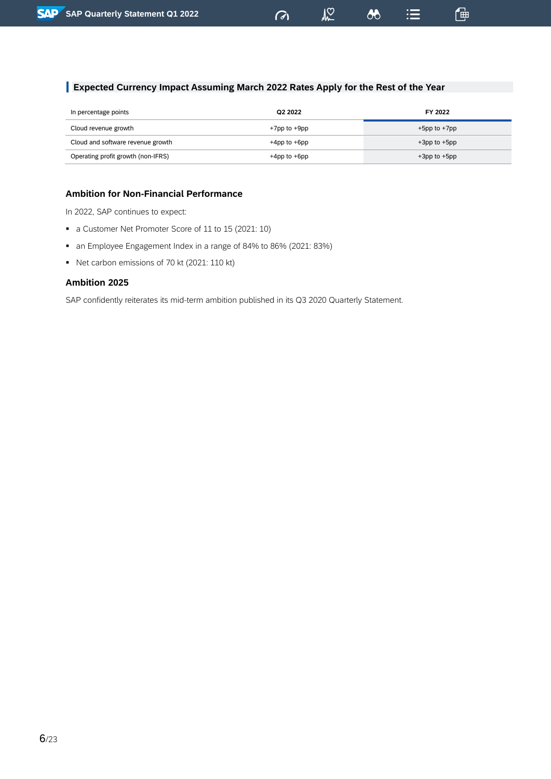### **Expected Currency Impact Assuming March 2022 Rates Apply for the Rest of the Year**

| In percentage points               | Q2 2022            | FY 2022            |
|------------------------------------|--------------------|--------------------|
| Cloud revenue growth               | +7pp to +9pp       | $+5$ pp to $+7$ pp |
| Cloud and software revenue growth  | $+4$ pp to $+6$ pp | $+3$ pp to $+5$ pp |
| Operating profit growth (non-IFRS) | $+4$ pp to $+6$ pp | $+3$ pp to $+5$ pp |

 $\sigma$ 

 $24$ 

 $\delta b$ 

這

一

### **Ambition for Non-Financial Performance**

In 2022, SAP continues to expect:

- a Customer Net Promoter Score of 11 to 15 (2021: 10)
- an Employee Engagement Index in a range of 84% to 86% (2021: 83%)
- Net carbon emissions of 70 kt (2021: 110 kt)

### **Ambition 2025**

SAP confidently reiterates its mid-term ambition published in its Q3 2020 Quarterly Statement.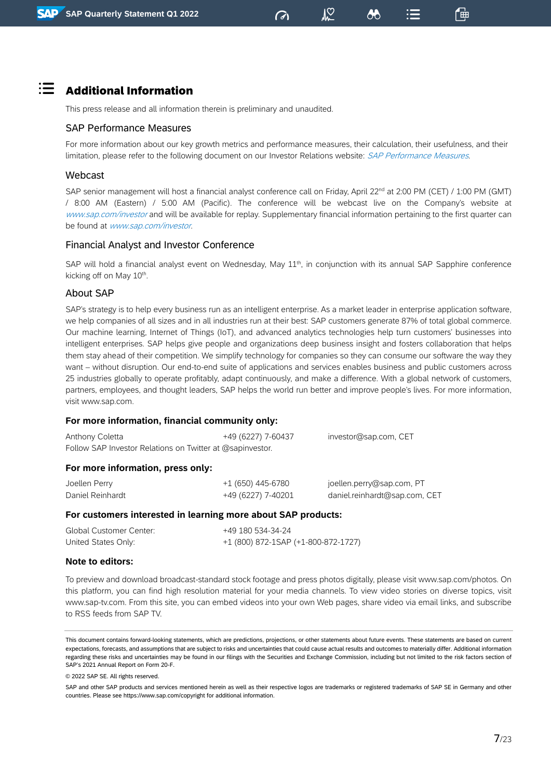「曲

# $\mathbf{H} = \mathbf{A}$ dditional Information

This press release and all information therein is preliminary and unaudited.

### SAP Performance Measures

For more information about our key growth metrics and performance measures, their calculation, their usefulness, and their limitation, please refer to the following document on our Investor Relations website: SAP [Performance](https://www.sap.com/docs/download/investors/2021/sap-2021-q4-performance-measures.pdf) Measures.

### Webcast

SAP senior management will host a financial analyst conference call on Friday, April 22<sup>nd</sup> at 2:00 PM (CET) / 1:00 PM (GMT) / 8:00 AM (Eastern) / 5:00 AM (Pacific). The conference will be webcast live on the Company's website at [www.sap.com/investor](http://www.sap.com/investor) and will be available for replay. Supplementary financial information pertaining to the first quarter can be found at [www.sap.com/investor](http://www.sap.com/investor).

### Financial Analyst and Investor Conference

SAP will hold a financial analyst event on Wednesday, May 11<sup>th</sup>, in conjunction with its annual SAP Sapphire conference kicking off on May 10<sup>th</sup>.

### About SAP

SAP's strategy is to help every business run as an intelligent enterprise. As a market leader in enterprise application software, we help companies of all sizes and in all industries run at their best: SAP customers generate 87% of total global commerce. Our machine learning, Internet of Things (IoT), and advanced analytics technologies help turn customers' businesses into intelligent enterprises. SAP helps give people and organizations deep business insight and fosters collaboration that helps them stay ahead of their competition. We simplify technology for companies so they can consume our software the way they want – without disruption. Our end-to-end suite of applications and services enables business and public customers across 25 industries globally to operate profitably, adapt continuously, and make a difference. With a global network of customers, partners, employees, and thought leaders, SAP helps the world run better and improve people's lives. For more information, visit www.sap.com.

### **For more information, financial community only:**

| Anthony Coletta                                           | +49 (6227) 7-60437 | investor@sap.com, CET         |
|-----------------------------------------------------------|--------------------|-------------------------------|
| Follow SAP Investor Relations on Twitter at @sapinvestor. |                    |                               |
| For more information, press only:                         |                    |                               |
| Joellen Perry                                             | $+1(650)$ 445-6780 | joellen.perry@sap.com, PT     |
| Daniel Reinhardt                                          | +49 (6227) 7-40201 | daniel.reinhardt@sap.com, CET |
|                                                           |                    |                               |

#### **For customers interested in learning more about SAP products:**

| Global Customer Center: | +49 180 534-34-24                   |
|-------------------------|-------------------------------------|
| United States Only:     | +1 (800) 872-1SAP (+1-800-872-1727) |

#### **Note to editors:**

To preview and download broadcast-standard stock footage and press photos digitally, please visit www.sap.com/photos. On this platform, you can find high resolution material for your media channels. To view video stories on diverse topics, visit www.sap-tv.com. From this site, you can embed videos into your own Web pages, share video via email links, and subscribe to RSS feeds from SAP TV.

© 2022 SAP SE. All rights reserved.

SAP and other SAP products and services mentioned herein as well as their respective logos are trademarks or registered trademarks of SAP SE in Germany and other countries. Please see https://www.sap.com/copyright for additional information.

This document contains forward-looking statements, which are predictions, projections, or other statements about future events. These statements are based on current expectations, forecasts, and assumptions that are subject to risks and uncertainties that could cause actual results and outcomes to materially differ. Additional information regarding these risks and uncertainties may be found in our filings with the Securities and Exchange Commission, including but not limited to the risk factors section of SAP's 2021 Annual Report on Form 20-F.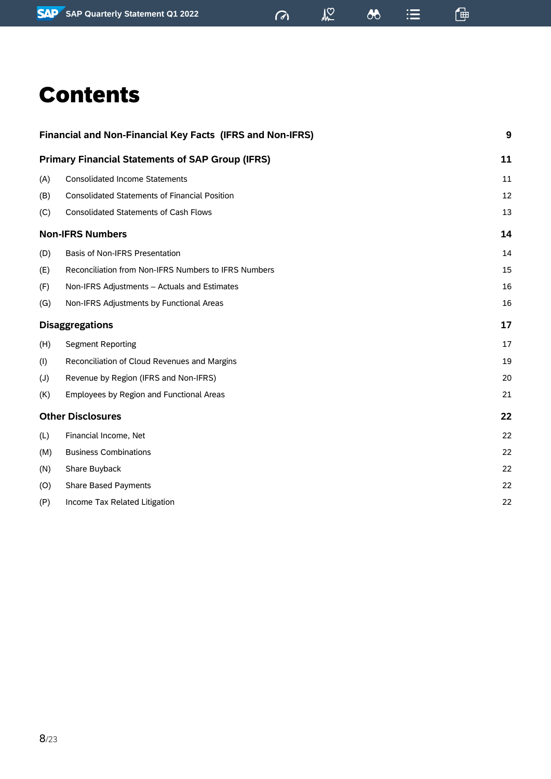$\frac{1}{2}$ 

 $\equiv$ 

 $\delta$ 

僵

# Contents

|                | Financial and Non-Financial Key Facts (IFRS and Non-IFRS) | 9  |
|----------------|-----------------------------------------------------------|----|
|                | <b>Primary Financial Statements of SAP Group (IFRS)</b>   | 11 |
| (A)            | <b>Consolidated Income Statements</b>                     | 11 |
| (B)            | <b>Consolidated Statements of Financial Position</b>      | 12 |
| (C)            | <b>Consolidated Statements of Cash Flows</b>              | 13 |
|                | <b>Non-IFRS Numbers</b>                                   | 14 |
| (D)            | Basis of Non-IFRS Presentation                            | 14 |
| (E)            | Reconciliation from Non-IFRS Numbers to IFRS Numbers      | 15 |
| (F)            | Non-IFRS Adjustments - Actuals and Estimates              | 16 |
| (G)            | Non-IFRS Adjustments by Functional Areas                  | 16 |
|                | <b>Disaggregations</b>                                    | 17 |
| (H)            | <b>Segment Reporting</b>                                  | 17 |
| (1)            | Reconciliation of Cloud Revenues and Margins              | 19 |
| $(\mathsf{U})$ | Revenue by Region (IFRS and Non-IFRS)                     | 20 |
| (K)            | Employees by Region and Functional Areas                  | 21 |
|                | <b>Other Disclosures</b>                                  | 22 |
| (L)            | Financial Income, Net                                     | 22 |
| (M)            | <b>Business Combinations</b>                              | 22 |
| (N)            | Share Buyback                                             | 22 |
| (0)            | Share Based Payments                                      | 22 |
| (P)            | Income Tax Related Litigation                             | 22 |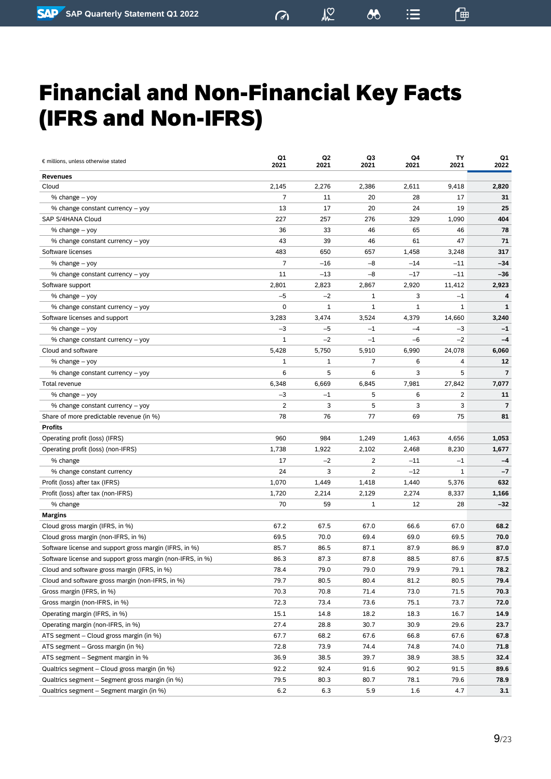$M<sup>o</sup>$ 

 $\mathbb{F}$ 

# <span id="page-8-0"></span>Financial and Non-Financial Key Facts (IFRS and Non-IFRS)

| <b>Revenues</b><br>2,145<br>2,276<br>Cloud<br>2,386<br>2,611<br>9,418<br>2,820<br>$\overline{7}$<br>11<br>20<br>28<br>17<br>31<br>% change – yoy<br>13<br>17<br>20<br>24<br>19<br>25<br>% change constant currency - yoy<br>227<br>257<br>276<br>329<br>404<br>SAP S/4HANA Cloud<br>1,090<br>65<br>% change – yoy<br>36<br>33<br>46<br>46<br>78<br>% change constant currency - yoy<br>43<br>39<br>46<br>61<br>47<br>71<br>317<br>Software licenses<br>483<br>650<br>657<br>1,458<br>3,248<br>$\overline{7}$<br>$-16$<br>$-34$<br>% change - yoy<br>$-8$<br>$-14$<br>$-11$<br>11<br>$-13$<br>$-8$<br>$-17$<br>$-11$<br>$-36$<br>% change constant currency - yoy<br>2,801<br>2,823<br>2,920<br>11,412<br>2,923<br>Software support<br>2,867<br>$-5$<br>$-2$<br>3<br>% change – yoy<br>1<br>$^{-1}$<br>4<br>0<br>$\mathbf{1}$<br>1<br>1<br>$\mathbf{1}$<br>1<br>% change constant currency - yoy<br>Software licenses and support<br>3,283<br>3,474<br>3,524<br>4,379<br>3,240<br>14,660<br>$-5$<br>% change – yoy<br>$-3$<br>$-1$<br>$-4$<br>-3<br>$-1$<br>$-2$<br>$-1$<br>$-2$<br>% change constant currency - yoy<br>1<br>$-6$<br>$-4$<br>Cloud and software<br>5,428<br>5,750<br>5,910<br>6,990<br>24,078<br>6,060<br>7<br>% change – yoy<br>1<br>6<br>4<br>12<br>1<br>3<br>5<br>6<br>5<br>6<br>$\overline{7}$<br>% change constant currency - yoy<br>6,348<br>6,669<br>6,845<br>7,981<br>27,842<br>7,077<br>Total revenue<br>$-3$<br>5<br>6<br>2<br>% change – yoy<br>$-1$<br>11<br>2<br>3<br>5<br>3<br>3<br>% change constant currency - yoy<br>7<br>78<br>76<br>77<br>Share of more predictable revenue (in %)<br>69<br>75<br>81<br><b>Profits</b><br>960<br>984<br>Operating profit (loss) (IFRS)<br>1,249<br>1,463<br>4,656<br>1,053<br>1,738<br>1,922<br>2,102<br>8,230<br>Operating profit (loss) (non-IFRS)<br>2,468<br>1,677<br>17<br>$-2$<br>2<br>% change<br>$-11$<br>$^{-1}$<br>$-4$<br>24<br>2<br>$-12$<br>% change constant currency<br>3<br>1<br>$-7$<br>1,070<br>1,418<br>Profit (loss) after tax (IFRS)<br>1,449<br>1,440<br>5,376<br>632<br>1,720<br>2,129<br>Profit (loss) after tax (non-IFRS)<br>2,214<br>2,274<br>8,337<br>1,166<br>70<br>59<br>28<br>% change<br>1<br>12<br>-32<br><b>Margins</b><br>Cloud gross margin (IFRS, in %)<br>67.2<br>67.5<br>67.0<br>66.6<br>67.0<br>68.2<br>69.5<br>70.0<br>69.0<br>Cloud gross margin (non-IFRS, in %)<br>69.4<br>69.5<br>70.0<br>Software license and support gross margin (IFRS, in %)<br>85.7<br>86.5<br>87.1<br>87.9<br>87.0<br>86.9<br>Software license and support gross margin (non-IFRS, in %)<br>86.3<br>87.3<br>87.8<br>88.5<br>87.6<br>87.5<br>Cloud and software gross margin (IFRS, in %)<br>78.4<br>79.0<br>79.0<br>79.9<br>79.1<br>78.2<br>79.7<br>80.4<br>81.2<br>80.5<br>79.4<br>Cloud and software gross margin (non-IFRS, in %)<br>80.5<br>70.3<br>Gross margin (IFRS, in %)<br>70.8<br>71.4<br>73.0<br>71.5<br>70.3<br>72.3<br>Gross margin (non-IFRS, in %)<br>73.4<br>73.6<br>75.1<br>73.7<br>72.0<br>Operating margin (IFRS, in %)<br>15.1<br>14.8<br>18.2<br>18.3<br>16.7<br>14.9<br>Operating margin (non-IFRS, in %)<br>27.4<br>28.8<br>30.7<br>30.9<br>29.6<br>23.7<br>ATS segment – Cloud gross margin (in %)<br>67.7<br>68.2<br>67.6<br>66.8<br>67.6<br>67.8<br>ATS segment - Gross margin (in %)<br>72.8<br>73.9<br>74.4<br>74.8<br>74.0<br>71.8<br>ATS segment - Segment margin in %<br>36.9<br>38.5<br>39.7<br>38.9<br>38.5<br>32.4<br>Qualtrics segment – Cloud gross margin (in %)<br>92.2<br>92.4<br>91.6<br>90.2<br>91.5<br>89.6 | € millions, unless otherwise stated             | Q1<br>2021 | Q2<br>2021 | Q3<br>2021 | Q4<br>2021 | TΥ<br>2021 | Q1<br>2022 |
|---------------------------------------------------------------------------------------------------------------------------------------------------------------------------------------------------------------------------------------------------------------------------------------------------------------------------------------------------------------------------------------------------------------------------------------------------------------------------------------------------------------------------------------------------------------------------------------------------------------------------------------------------------------------------------------------------------------------------------------------------------------------------------------------------------------------------------------------------------------------------------------------------------------------------------------------------------------------------------------------------------------------------------------------------------------------------------------------------------------------------------------------------------------------------------------------------------------------------------------------------------------------------------------------------------------------------------------------------------------------------------------------------------------------------------------------------------------------------------------------------------------------------------------------------------------------------------------------------------------------------------------------------------------------------------------------------------------------------------------------------------------------------------------------------------------------------------------------------------------------------------------------------------------------------------------------------------------------------------------------------------------------------------------------------------------------------------------------------------------------------------------------------------------------------------------------------------------------------------------------------------------------------------------------------------------------------------------------------------------------------------------------------------------------------------------------------------------------------------------------------------------------------------------------------------------------------------------------------------------------------------------------------------------------------------------------------------------------------------------------------------------------------------------------------------------------------------------------------------------------------------------------------------------------------------------------------------------------------------------------------------------------------------------------------------------------------------------------------------------------------------------------------------------------------------------------------------------------------------------------------------------------------------------------------------------------------------------------------------------------------------------------------------------------------------------------------------------------------------------------------------------------------------------------|-------------------------------------------------|------------|------------|------------|------------|------------|------------|
|                                                                                                                                                                                                                                                                                                                                                                                                                                                                                                                                                                                                                                                                                                                                                                                                                                                                                                                                                                                                                                                                                                                                                                                                                                                                                                                                                                                                                                                                                                                                                                                                                                                                                                                                                                                                                                                                                                                                                                                                                                                                                                                                                                                                                                                                                                                                                                                                                                                                                                                                                                                                                                                                                                                                                                                                                                                                                                                                                                                                                                                                                                                                                                                                                                                                                                                                                                                                                                                                                                                                             |                                                 |            |            |            |            |            |            |
|                                                                                                                                                                                                                                                                                                                                                                                                                                                                                                                                                                                                                                                                                                                                                                                                                                                                                                                                                                                                                                                                                                                                                                                                                                                                                                                                                                                                                                                                                                                                                                                                                                                                                                                                                                                                                                                                                                                                                                                                                                                                                                                                                                                                                                                                                                                                                                                                                                                                                                                                                                                                                                                                                                                                                                                                                                                                                                                                                                                                                                                                                                                                                                                                                                                                                                                                                                                                                                                                                                                                             |                                                 |            |            |            |            |            |            |
|                                                                                                                                                                                                                                                                                                                                                                                                                                                                                                                                                                                                                                                                                                                                                                                                                                                                                                                                                                                                                                                                                                                                                                                                                                                                                                                                                                                                                                                                                                                                                                                                                                                                                                                                                                                                                                                                                                                                                                                                                                                                                                                                                                                                                                                                                                                                                                                                                                                                                                                                                                                                                                                                                                                                                                                                                                                                                                                                                                                                                                                                                                                                                                                                                                                                                                                                                                                                                                                                                                                                             |                                                 |            |            |            |            |            |            |
|                                                                                                                                                                                                                                                                                                                                                                                                                                                                                                                                                                                                                                                                                                                                                                                                                                                                                                                                                                                                                                                                                                                                                                                                                                                                                                                                                                                                                                                                                                                                                                                                                                                                                                                                                                                                                                                                                                                                                                                                                                                                                                                                                                                                                                                                                                                                                                                                                                                                                                                                                                                                                                                                                                                                                                                                                                                                                                                                                                                                                                                                                                                                                                                                                                                                                                                                                                                                                                                                                                                                             |                                                 |            |            |            |            |            |            |
|                                                                                                                                                                                                                                                                                                                                                                                                                                                                                                                                                                                                                                                                                                                                                                                                                                                                                                                                                                                                                                                                                                                                                                                                                                                                                                                                                                                                                                                                                                                                                                                                                                                                                                                                                                                                                                                                                                                                                                                                                                                                                                                                                                                                                                                                                                                                                                                                                                                                                                                                                                                                                                                                                                                                                                                                                                                                                                                                                                                                                                                                                                                                                                                                                                                                                                                                                                                                                                                                                                                                             |                                                 |            |            |            |            |            |            |
|                                                                                                                                                                                                                                                                                                                                                                                                                                                                                                                                                                                                                                                                                                                                                                                                                                                                                                                                                                                                                                                                                                                                                                                                                                                                                                                                                                                                                                                                                                                                                                                                                                                                                                                                                                                                                                                                                                                                                                                                                                                                                                                                                                                                                                                                                                                                                                                                                                                                                                                                                                                                                                                                                                                                                                                                                                                                                                                                                                                                                                                                                                                                                                                                                                                                                                                                                                                                                                                                                                                                             |                                                 |            |            |            |            |            |            |
|                                                                                                                                                                                                                                                                                                                                                                                                                                                                                                                                                                                                                                                                                                                                                                                                                                                                                                                                                                                                                                                                                                                                                                                                                                                                                                                                                                                                                                                                                                                                                                                                                                                                                                                                                                                                                                                                                                                                                                                                                                                                                                                                                                                                                                                                                                                                                                                                                                                                                                                                                                                                                                                                                                                                                                                                                                                                                                                                                                                                                                                                                                                                                                                                                                                                                                                                                                                                                                                                                                                                             |                                                 |            |            |            |            |            |            |
|                                                                                                                                                                                                                                                                                                                                                                                                                                                                                                                                                                                                                                                                                                                                                                                                                                                                                                                                                                                                                                                                                                                                                                                                                                                                                                                                                                                                                                                                                                                                                                                                                                                                                                                                                                                                                                                                                                                                                                                                                                                                                                                                                                                                                                                                                                                                                                                                                                                                                                                                                                                                                                                                                                                                                                                                                                                                                                                                                                                                                                                                                                                                                                                                                                                                                                                                                                                                                                                                                                                                             |                                                 |            |            |            |            |            |            |
|                                                                                                                                                                                                                                                                                                                                                                                                                                                                                                                                                                                                                                                                                                                                                                                                                                                                                                                                                                                                                                                                                                                                                                                                                                                                                                                                                                                                                                                                                                                                                                                                                                                                                                                                                                                                                                                                                                                                                                                                                                                                                                                                                                                                                                                                                                                                                                                                                                                                                                                                                                                                                                                                                                                                                                                                                                                                                                                                                                                                                                                                                                                                                                                                                                                                                                                                                                                                                                                                                                                                             |                                                 |            |            |            |            |            |            |
|                                                                                                                                                                                                                                                                                                                                                                                                                                                                                                                                                                                                                                                                                                                                                                                                                                                                                                                                                                                                                                                                                                                                                                                                                                                                                                                                                                                                                                                                                                                                                                                                                                                                                                                                                                                                                                                                                                                                                                                                                                                                                                                                                                                                                                                                                                                                                                                                                                                                                                                                                                                                                                                                                                                                                                                                                                                                                                                                                                                                                                                                                                                                                                                                                                                                                                                                                                                                                                                                                                                                             |                                                 |            |            |            |            |            |            |
|                                                                                                                                                                                                                                                                                                                                                                                                                                                                                                                                                                                                                                                                                                                                                                                                                                                                                                                                                                                                                                                                                                                                                                                                                                                                                                                                                                                                                                                                                                                                                                                                                                                                                                                                                                                                                                                                                                                                                                                                                                                                                                                                                                                                                                                                                                                                                                                                                                                                                                                                                                                                                                                                                                                                                                                                                                                                                                                                                                                                                                                                                                                                                                                                                                                                                                                                                                                                                                                                                                                                             |                                                 |            |            |            |            |            |            |
|                                                                                                                                                                                                                                                                                                                                                                                                                                                                                                                                                                                                                                                                                                                                                                                                                                                                                                                                                                                                                                                                                                                                                                                                                                                                                                                                                                                                                                                                                                                                                                                                                                                                                                                                                                                                                                                                                                                                                                                                                                                                                                                                                                                                                                                                                                                                                                                                                                                                                                                                                                                                                                                                                                                                                                                                                                                                                                                                                                                                                                                                                                                                                                                                                                                                                                                                                                                                                                                                                                                                             |                                                 |            |            |            |            |            |            |
|                                                                                                                                                                                                                                                                                                                                                                                                                                                                                                                                                                                                                                                                                                                                                                                                                                                                                                                                                                                                                                                                                                                                                                                                                                                                                                                                                                                                                                                                                                                                                                                                                                                                                                                                                                                                                                                                                                                                                                                                                                                                                                                                                                                                                                                                                                                                                                                                                                                                                                                                                                                                                                                                                                                                                                                                                                                                                                                                                                                                                                                                                                                                                                                                                                                                                                                                                                                                                                                                                                                                             |                                                 |            |            |            |            |            |            |
|                                                                                                                                                                                                                                                                                                                                                                                                                                                                                                                                                                                                                                                                                                                                                                                                                                                                                                                                                                                                                                                                                                                                                                                                                                                                                                                                                                                                                                                                                                                                                                                                                                                                                                                                                                                                                                                                                                                                                                                                                                                                                                                                                                                                                                                                                                                                                                                                                                                                                                                                                                                                                                                                                                                                                                                                                                                                                                                                                                                                                                                                                                                                                                                                                                                                                                                                                                                                                                                                                                                                             |                                                 |            |            |            |            |            |            |
|                                                                                                                                                                                                                                                                                                                                                                                                                                                                                                                                                                                                                                                                                                                                                                                                                                                                                                                                                                                                                                                                                                                                                                                                                                                                                                                                                                                                                                                                                                                                                                                                                                                                                                                                                                                                                                                                                                                                                                                                                                                                                                                                                                                                                                                                                                                                                                                                                                                                                                                                                                                                                                                                                                                                                                                                                                                                                                                                                                                                                                                                                                                                                                                                                                                                                                                                                                                                                                                                                                                                             |                                                 |            |            |            |            |            |            |
|                                                                                                                                                                                                                                                                                                                                                                                                                                                                                                                                                                                                                                                                                                                                                                                                                                                                                                                                                                                                                                                                                                                                                                                                                                                                                                                                                                                                                                                                                                                                                                                                                                                                                                                                                                                                                                                                                                                                                                                                                                                                                                                                                                                                                                                                                                                                                                                                                                                                                                                                                                                                                                                                                                                                                                                                                                                                                                                                                                                                                                                                                                                                                                                                                                                                                                                                                                                                                                                                                                                                             |                                                 |            |            |            |            |            |            |
|                                                                                                                                                                                                                                                                                                                                                                                                                                                                                                                                                                                                                                                                                                                                                                                                                                                                                                                                                                                                                                                                                                                                                                                                                                                                                                                                                                                                                                                                                                                                                                                                                                                                                                                                                                                                                                                                                                                                                                                                                                                                                                                                                                                                                                                                                                                                                                                                                                                                                                                                                                                                                                                                                                                                                                                                                                                                                                                                                                                                                                                                                                                                                                                                                                                                                                                                                                                                                                                                                                                                             |                                                 |            |            |            |            |            |            |
|                                                                                                                                                                                                                                                                                                                                                                                                                                                                                                                                                                                                                                                                                                                                                                                                                                                                                                                                                                                                                                                                                                                                                                                                                                                                                                                                                                                                                                                                                                                                                                                                                                                                                                                                                                                                                                                                                                                                                                                                                                                                                                                                                                                                                                                                                                                                                                                                                                                                                                                                                                                                                                                                                                                                                                                                                                                                                                                                                                                                                                                                                                                                                                                                                                                                                                                                                                                                                                                                                                                                             |                                                 |            |            |            |            |            |            |
|                                                                                                                                                                                                                                                                                                                                                                                                                                                                                                                                                                                                                                                                                                                                                                                                                                                                                                                                                                                                                                                                                                                                                                                                                                                                                                                                                                                                                                                                                                                                                                                                                                                                                                                                                                                                                                                                                                                                                                                                                                                                                                                                                                                                                                                                                                                                                                                                                                                                                                                                                                                                                                                                                                                                                                                                                                                                                                                                                                                                                                                                                                                                                                                                                                                                                                                                                                                                                                                                                                                                             |                                                 |            |            |            |            |            |            |
|                                                                                                                                                                                                                                                                                                                                                                                                                                                                                                                                                                                                                                                                                                                                                                                                                                                                                                                                                                                                                                                                                                                                                                                                                                                                                                                                                                                                                                                                                                                                                                                                                                                                                                                                                                                                                                                                                                                                                                                                                                                                                                                                                                                                                                                                                                                                                                                                                                                                                                                                                                                                                                                                                                                                                                                                                                                                                                                                                                                                                                                                                                                                                                                                                                                                                                                                                                                                                                                                                                                                             |                                                 |            |            |            |            |            |            |
|                                                                                                                                                                                                                                                                                                                                                                                                                                                                                                                                                                                                                                                                                                                                                                                                                                                                                                                                                                                                                                                                                                                                                                                                                                                                                                                                                                                                                                                                                                                                                                                                                                                                                                                                                                                                                                                                                                                                                                                                                                                                                                                                                                                                                                                                                                                                                                                                                                                                                                                                                                                                                                                                                                                                                                                                                                                                                                                                                                                                                                                                                                                                                                                                                                                                                                                                                                                                                                                                                                                                             |                                                 |            |            |            |            |            |            |
|                                                                                                                                                                                                                                                                                                                                                                                                                                                                                                                                                                                                                                                                                                                                                                                                                                                                                                                                                                                                                                                                                                                                                                                                                                                                                                                                                                                                                                                                                                                                                                                                                                                                                                                                                                                                                                                                                                                                                                                                                                                                                                                                                                                                                                                                                                                                                                                                                                                                                                                                                                                                                                                                                                                                                                                                                                                                                                                                                                                                                                                                                                                                                                                                                                                                                                                                                                                                                                                                                                                                             |                                                 |            |            |            |            |            |            |
|                                                                                                                                                                                                                                                                                                                                                                                                                                                                                                                                                                                                                                                                                                                                                                                                                                                                                                                                                                                                                                                                                                                                                                                                                                                                                                                                                                                                                                                                                                                                                                                                                                                                                                                                                                                                                                                                                                                                                                                                                                                                                                                                                                                                                                                                                                                                                                                                                                                                                                                                                                                                                                                                                                                                                                                                                                                                                                                                                                                                                                                                                                                                                                                                                                                                                                                                                                                                                                                                                                                                             |                                                 |            |            |            |            |            |            |
|                                                                                                                                                                                                                                                                                                                                                                                                                                                                                                                                                                                                                                                                                                                                                                                                                                                                                                                                                                                                                                                                                                                                                                                                                                                                                                                                                                                                                                                                                                                                                                                                                                                                                                                                                                                                                                                                                                                                                                                                                                                                                                                                                                                                                                                                                                                                                                                                                                                                                                                                                                                                                                                                                                                                                                                                                                                                                                                                                                                                                                                                                                                                                                                                                                                                                                                                                                                                                                                                                                                                             |                                                 |            |            |            |            |            |            |
|                                                                                                                                                                                                                                                                                                                                                                                                                                                                                                                                                                                                                                                                                                                                                                                                                                                                                                                                                                                                                                                                                                                                                                                                                                                                                                                                                                                                                                                                                                                                                                                                                                                                                                                                                                                                                                                                                                                                                                                                                                                                                                                                                                                                                                                                                                                                                                                                                                                                                                                                                                                                                                                                                                                                                                                                                                                                                                                                                                                                                                                                                                                                                                                                                                                                                                                                                                                                                                                                                                                                             |                                                 |            |            |            |            |            |            |
|                                                                                                                                                                                                                                                                                                                                                                                                                                                                                                                                                                                                                                                                                                                                                                                                                                                                                                                                                                                                                                                                                                                                                                                                                                                                                                                                                                                                                                                                                                                                                                                                                                                                                                                                                                                                                                                                                                                                                                                                                                                                                                                                                                                                                                                                                                                                                                                                                                                                                                                                                                                                                                                                                                                                                                                                                                                                                                                                                                                                                                                                                                                                                                                                                                                                                                                                                                                                                                                                                                                                             |                                                 |            |            |            |            |            |            |
|                                                                                                                                                                                                                                                                                                                                                                                                                                                                                                                                                                                                                                                                                                                                                                                                                                                                                                                                                                                                                                                                                                                                                                                                                                                                                                                                                                                                                                                                                                                                                                                                                                                                                                                                                                                                                                                                                                                                                                                                                                                                                                                                                                                                                                                                                                                                                                                                                                                                                                                                                                                                                                                                                                                                                                                                                                                                                                                                                                                                                                                                                                                                                                                                                                                                                                                                                                                                                                                                                                                                             |                                                 |            |            |            |            |            |            |
|                                                                                                                                                                                                                                                                                                                                                                                                                                                                                                                                                                                                                                                                                                                                                                                                                                                                                                                                                                                                                                                                                                                                                                                                                                                                                                                                                                                                                                                                                                                                                                                                                                                                                                                                                                                                                                                                                                                                                                                                                                                                                                                                                                                                                                                                                                                                                                                                                                                                                                                                                                                                                                                                                                                                                                                                                                                                                                                                                                                                                                                                                                                                                                                                                                                                                                                                                                                                                                                                                                                                             |                                                 |            |            |            |            |            |            |
|                                                                                                                                                                                                                                                                                                                                                                                                                                                                                                                                                                                                                                                                                                                                                                                                                                                                                                                                                                                                                                                                                                                                                                                                                                                                                                                                                                                                                                                                                                                                                                                                                                                                                                                                                                                                                                                                                                                                                                                                                                                                                                                                                                                                                                                                                                                                                                                                                                                                                                                                                                                                                                                                                                                                                                                                                                                                                                                                                                                                                                                                                                                                                                                                                                                                                                                                                                                                                                                                                                                                             |                                                 |            |            |            |            |            |            |
|                                                                                                                                                                                                                                                                                                                                                                                                                                                                                                                                                                                                                                                                                                                                                                                                                                                                                                                                                                                                                                                                                                                                                                                                                                                                                                                                                                                                                                                                                                                                                                                                                                                                                                                                                                                                                                                                                                                                                                                                                                                                                                                                                                                                                                                                                                                                                                                                                                                                                                                                                                                                                                                                                                                                                                                                                                                                                                                                                                                                                                                                                                                                                                                                                                                                                                                                                                                                                                                                                                                                             |                                                 |            |            |            |            |            |            |
|                                                                                                                                                                                                                                                                                                                                                                                                                                                                                                                                                                                                                                                                                                                                                                                                                                                                                                                                                                                                                                                                                                                                                                                                                                                                                                                                                                                                                                                                                                                                                                                                                                                                                                                                                                                                                                                                                                                                                                                                                                                                                                                                                                                                                                                                                                                                                                                                                                                                                                                                                                                                                                                                                                                                                                                                                                                                                                                                                                                                                                                                                                                                                                                                                                                                                                                                                                                                                                                                                                                                             |                                                 |            |            |            |            |            |            |
|                                                                                                                                                                                                                                                                                                                                                                                                                                                                                                                                                                                                                                                                                                                                                                                                                                                                                                                                                                                                                                                                                                                                                                                                                                                                                                                                                                                                                                                                                                                                                                                                                                                                                                                                                                                                                                                                                                                                                                                                                                                                                                                                                                                                                                                                                                                                                                                                                                                                                                                                                                                                                                                                                                                                                                                                                                                                                                                                                                                                                                                                                                                                                                                                                                                                                                                                                                                                                                                                                                                                             |                                                 |            |            |            |            |            |            |
|                                                                                                                                                                                                                                                                                                                                                                                                                                                                                                                                                                                                                                                                                                                                                                                                                                                                                                                                                                                                                                                                                                                                                                                                                                                                                                                                                                                                                                                                                                                                                                                                                                                                                                                                                                                                                                                                                                                                                                                                                                                                                                                                                                                                                                                                                                                                                                                                                                                                                                                                                                                                                                                                                                                                                                                                                                                                                                                                                                                                                                                                                                                                                                                                                                                                                                                                                                                                                                                                                                                                             |                                                 |            |            |            |            |            |            |
|                                                                                                                                                                                                                                                                                                                                                                                                                                                                                                                                                                                                                                                                                                                                                                                                                                                                                                                                                                                                                                                                                                                                                                                                                                                                                                                                                                                                                                                                                                                                                                                                                                                                                                                                                                                                                                                                                                                                                                                                                                                                                                                                                                                                                                                                                                                                                                                                                                                                                                                                                                                                                                                                                                                                                                                                                                                                                                                                                                                                                                                                                                                                                                                                                                                                                                                                                                                                                                                                                                                                             |                                                 |            |            |            |            |            |            |
|                                                                                                                                                                                                                                                                                                                                                                                                                                                                                                                                                                                                                                                                                                                                                                                                                                                                                                                                                                                                                                                                                                                                                                                                                                                                                                                                                                                                                                                                                                                                                                                                                                                                                                                                                                                                                                                                                                                                                                                                                                                                                                                                                                                                                                                                                                                                                                                                                                                                                                                                                                                                                                                                                                                                                                                                                                                                                                                                                                                                                                                                                                                                                                                                                                                                                                                                                                                                                                                                                                                                             |                                                 |            |            |            |            |            |            |
|                                                                                                                                                                                                                                                                                                                                                                                                                                                                                                                                                                                                                                                                                                                                                                                                                                                                                                                                                                                                                                                                                                                                                                                                                                                                                                                                                                                                                                                                                                                                                                                                                                                                                                                                                                                                                                                                                                                                                                                                                                                                                                                                                                                                                                                                                                                                                                                                                                                                                                                                                                                                                                                                                                                                                                                                                                                                                                                                                                                                                                                                                                                                                                                                                                                                                                                                                                                                                                                                                                                                             |                                                 |            |            |            |            |            |            |
|                                                                                                                                                                                                                                                                                                                                                                                                                                                                                                                                                                                                                                                                                                                                                                                                                                                                                                                                                                                                                                                                                                                                                                                                                                                                                                                                                                                                                                                                                                                                                                                                                                                                                                                                                                                                                                                                                                                                                                                                                                                                                                                                                                                                                                                                                                                                                                                                                                                                                                                                                                                                                                                                                                                                                                                                                                                                                                                                                                                                                                                                                                                                                                                                                                                                                                                                                                                                                                                                                                                                             |                                                 |            |            |            |            |            |            |
|                                                                                                                                                                                                                                                                                                                                                                                                                                                                                                                                                                                                                                                                                                                                                                                                                                                                                                                                                                                                                                                                                                                                                                                                                                                                                                                                                                                                                                                                                                                                                                                                                                                                                                                                                                                                                                                                                                                                                                                                                                                                                                                                                                                                                                                                                                                                                                                                                                                                                                                                                                                                                                                                                                                                                                                                                                                                                                                                                                                                                                                                                                                                                                                                                                                                                                                                                                                                                                                                                                                                             |                                                 |            |            |            |            |            |            |
|                                                                                                                                                                                                                                                                                                                                                                                                                                                                                                                                                                                                                                                                                                                                                                                                                                                                                                                                                                                                                                                                                                                                                                                                                                                                                                                                                                                                                                                                                                                                                                                                                                                                                                                                                                                                                                                                                                                                                                                                                                                                                                                                                                                                                                                                                                                                                                                                                                                                                                                                                                                                                                                                                                                                                                                                                                                                                                                                                                                                                                                                                                                                                                                                                                                                                                                                                                                                                                                                                                                                             |                                                 |            |            |            |            |            |            |
|                                                                                                                                                                                                                                                                                                                                                                                                                                                                                                                                                                                                                                                                                                                                                                                                                                                                                                                                                                                                                                                                                                                                                                                                                                                                                                                                                                                                                                                                                                                                                                                                                                                                                                                                                                                                                                                                                                                                                                                                                                                                                                                                                                                                                                                                                                                                                                                                                                                                                                                                                                                                                                                                                                                                                                                                                                                                                                                                                                                                                                                                                                                                                                                                                                                                                                                                                                                                                                                                                                                                             |                                                 |            |            |            |            |            |            |
|                                                                                                                                                                                                                                                                                                                                                                                                                                                                                                                                                                                                                                                                                                                                                                                                                                                                                                                                                                                                                                                                                                                                                                                                                                                                                                                                                                                                                                                                                                                                                                                                                                                                                                                                                                                                                                                                                                                                                                                                                                                                                                                                                                                                                                                                                                                                                                                                                                                                                                                                                                                                                                                                                                                                                                                                                                                                                                                                                                                                                                                                                                                                                                                                                                                                                                                                                                                                                                                                                                                                             |                                                 |            |            |            |            |            |            |
|                                                                                                                                                                                                                                                                                                                                                                                                                                                                                                                                                                                                                                                                                                                                                                                                                                                                                                                                                                                                                                                                                                                                                                                                                                                                                                                                                                                                                                                                                                                                                                                                                                                                                                                                                                                                                                                                                                                                                                                                                                                                                                                                                                                                                                                                                                                                                                                                                                                                                                                                                                                                                                                                                                                                                                                                                                                                                                                                                                                                                                                                                                                                                                                                                                                                                                                                                                                                                                                                                                                                             |                                                 |            |            |            |            |            |            |
|                                                                                                                                                                                                                                                                                                                                                                                                                                                                                                                                                                                                                                                                                                                                                                                                                                                                                                                                                                                                                                                                                                                                                                                                                                                                                                                                                                                                                                                                                                                                                                                                                                                                                                                                                                                                                                                                                                                                                                                                                                                                                                                                                                                                                                                                                                                                                                                                                                                                                                                                                                                                                                                                                                                                                                                                                                                                                                                                                                                                                                                                                                                                                                                                                                                                                                                                                                                                                                                                                                                                             |                                                 |            |            |            |            |            |            |
|                                                                                                                                                                                                                                                                                                                                                                                                                                                                                                                                                                                                                                                                                                                                                                                                                                                                                                                                                                                                                                                                                                                                                                                                                                                                                                                                                                                                                                                                                                                                                                                                                                                                                                                                                                                                                                                                                                                                                                                                                                                                                                                                                                                                                                                                                                                                                                                                                                                                                                                                                                                                                                                                                                                                                                                                                                                                                                                                                                                                                                                                                                                                                                                                                                                                                                                                                                                                                                                                                                                                             |                                                 |            |            |            |            |            |            |
|                                                                                                                                                                                                                                                                                                                                                                                                                                                                                                                                                                                                                                                                                                                                                                                                                                                                                                                                                                                                                                                                                                                                                                                                                                                                                                                                                                                                                                                                                                                                                                                                                                                                                                                                                                                                                                                                                                                                                                                                                                                                                                                                                                                                                                                                                                                                                                                                                                                                                                                                                                                                                                                                                                                                                                                                                                                                                                                                                                                                                                                                                                                                                                                                                                                                                                                                                                                                                                                                                                                                             |                                                 |            |            |            |            |            |            |
|                                                                                                                                                                                                                                                                                                                                                                                                                                                                                                                                                                                                                                                                                                                                                                                                                                                                                                                                                                                                                                                                                                                                                                                                                                                                                                                                                                                                                                                                                                                                                                                                                                                                                                                                                                                                                                                                                                                                                                                                                                                                                                                                                                                                                                                                                                                                                                                                                                                                                                                                                                                                                                                                                                                                                                                                                                                                                                                                                                                                                                                                                                                                                                                                                                                                                                                                                                                                                                                                                                                                             |                                                 |            |            |            |            |            |            |
|                                                                                                                                                                                                                                                                                                                                                                                                                                                                                                                                                                                                                                                                                                                                                                                                                                                                                                                                                                                                                                                                                                                                                                                                                                                                                                                                                                                                                                                                                                                                                                                                                                                                                                                                                                                                                                                                                                                                                                                                                                                                                                                                                                                                                                                                                                                                                                                                                                                                                                                                                                                                                                                                                                                                                                                                                                                                                                                                                                                                                                                                                                                                                                                                                                                                                                                                                                                                                                                                                                                                             | Qualtrics segment - Segment gross margin (in %) | 79.5       | 80.3       | 80.7       | 78.1       | 79.6       | 78.9       |
| Qualtrics segment - Segment margin (in %)<br>6.2<br>6.3<br>5.9<br>1.6<br>4.7<br>3.1                                                                                                                                                                                                                                                                                                                                                                                                                                                                                                                                                                                                                                                                                                                                                                                                                                                                                                                                                                                                                                                                                                                                                                                                                                                                                                                                                                                                                                                                                                                                                                                                                                                                                                                                                                                                                                                                                                                                                                                                                                                                                                                                                                                                                                                                                                                                                                                                                                                                                                                                                                                                                                                                                                                                                                                                                                                                                                                                                                                                                                                                                                                                                                                                                                                                                                                                                                                                                                                         |                                                 |            |            |            |            |            |            |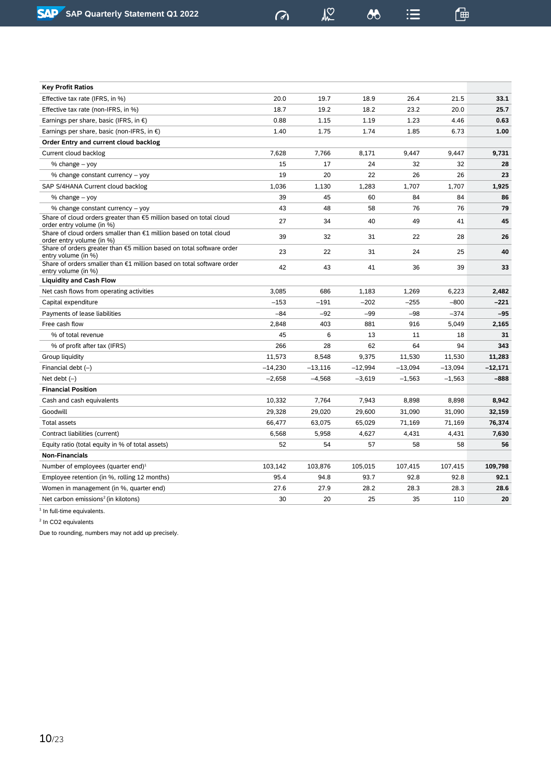$\sqrt{2}$ 

 $\delta$ 

 $\mathrel{\mathop:}=$ 

| <b>Key Profit Ratios</b>                                                                        |           |           |           |           |           |           |
|-------------------------------------------------------------------------------------------------|-----------|-----------|-----------|-----------|-----------|-----------|
| Effective tax rate (IFRS, in %)                                                                 | 20.0      | 19.7      | 18.9      | 26.4      | 21.5      | 33.1      |
| Effective tax rate (non-IFRS, in %)                                                             | 18.7      | 19.2      | 18.2      | 23.2      | 20.0      | 25.7      |
| Earnings per share, basic (IFRS, in $\epsilon$ )                                                | 0.88      | 1.15      | 1.19      | 1.23      | 4.46      | 0.63      |
| Earnings per share, basic (non-IFRS, in $\epsilon$ )                                            | 1.40      | 1.75      | 1.74      | 1.85      | 6.73      | 1.00      |
| Order Entry and current cloud backlog                                                           |           |           |           |           |           |           |
| Current cloud backlog                                                                           | 7,628     | 7,766     | 8,171     | 9,447     | 9,447     | 9,731     |
| % change – yoy                                                                                  | 15        | 17        | 24        | 32        | 32        | 28        |
| % change constant currency - yoy                                                                | 19        | 20        | 22        | 26        | 26        | 23        |
| SAP S/4HANA Current cloud backlog                                                               | 1,036     | 1,130     | 1,283     | 1.707     | 1,707     | 1,925     |
| % change – yoy                                                                                  | 39        | 45        | 60        | 84        | 84        | 86        |
| % change constant currency - yoy                                                                | 43        | 48        | 58        | 76        | 76        | 79        |
| Share of cloud orders greater than €5 million based on total cloud<br>order entry volume (in %) | 27        | 34        | 40        | 49        | 41        | 45        |
| Share of cloud orders smaller than €1 million based on total cloud<br>order entry volume (in %) | 39        | 32        | 31        | 22        | 28        | 26        |
| Share of orders greater than €5 million based on total software order<br>entry volume (in %)    | 23        | 22        | 31        | 24        | 25        | 40        |
| Share of orders smaller than $E1$ million based on total software order<br>entry volume (in %)  | 42        | 43        | 41        | 36        | 39        | 33        |
| <b>Liquidity and Cash Flow</b>                                                                  |           |           |           |           |           |           |
| Net cash flows from operating activities                                                        | 3,085     | 686       | 1,183     | 1,269     | 6,223     | 2,482     |
| Capital expenditure                                                                             | $-153$    | $-191$    | $-202$    | $-255$    | $-800$    | $-221$    |
| Payments of lease liabilities                                                                   | $-84$     | $-92$     | $-99$     | $-98$     | $-374$    | $-95$     |
| Free cash flow                                                                                  | 2,848     | 403       | 881       | 916       | 5,049     | 2,165     |
| % of total revenue                                                                              | 45        | 6         | 13        | 11        | 18        | 31        |
| % of profit after tax (IFRS)                                                                    | 266       | 28        | 62        | 64        | 94        | 343       |
| Group liquidity                                                                                 | 11,573    | 8,548     | 9,375     | 11,530    | 11,530    | 11,283    |
| Financial debt $(-)$                                                                            | $-14,230$ | $-13,116$ | $-12,994$ | $-13.094$ | $-13,094$ | $-12,171$ |
| Net debt $(-)$                                                                                  | $-2,658$  | $-4,568$  | $-3,619$  | $-1,563$  | $-1,563$  | $-888$    |
| <b>Financial Position</b>                                                                       |           |           |           |           |           |           |
| Cash and cash equivalents                                                                       | 10,332    | 7,764     | 7,943     | 8,898     | 8,898     | 8,942     |
| Goodwill                                                                                        | 29,328    | 29,020    | 29,600    | 31,090    | 31,090    | 32,159    |
| <b>Total assets</b>                                                                             | 66,477    | 63,075    | 65,029    | 71,169    | 71,169    | 76,374    |
| Contract liabilities (current)                                                                  | 6,568     | 5,958     | 4,627     | 4,431     | 4,431     | 7,630     |
| Equity ratio (total equity in % of total assets)                                                | 52        | 54        | 57        | 58        | 58        | 56        |
| <b>Non-Financials</b>                                                                           |           |           |           |           |           |           |
| Number of employees (quarter end) $1$                                                           | 103,142   | 103,876   | 105,015   | 107,415   | 107,415   | 109,798   |
| Employee retention (in %, rolling 12 months)                                                    | 95.4      | 94.8      | 93.7      | 92.8      | 92.8      | 92.1      |
| Women in management (in %, quarter end)                                                         | 27.6      | 27.9      | 28.2      | 28.3      | 28.3      | 28.6      |
| Net carbon emissions <sup>2</sup> (in kilotons)                                                 | 30        | 20        | 25        | 35        | 110       | 20        |
|                                                                                                 |           |           |           |           |           |           |

<sup>1</sup> In full-time equivalents.

2 In CO2 equivalents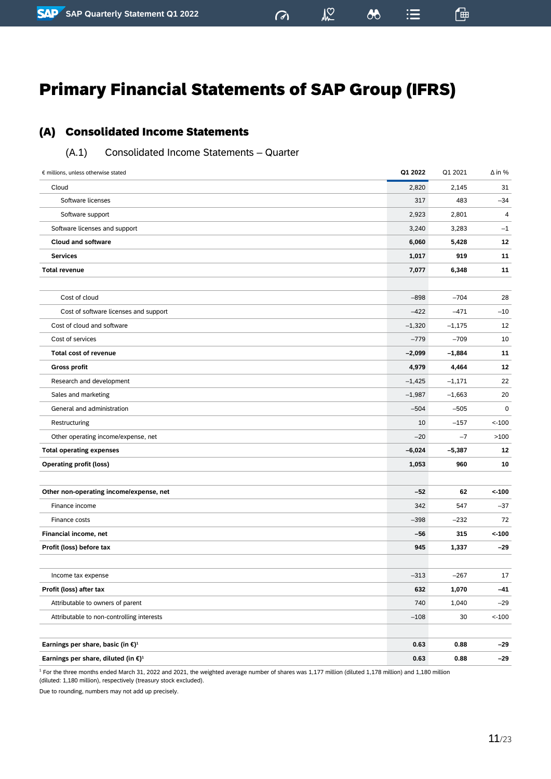$24$ 

 $\boldsymbol{\delta\delta}$ 

 $\mathrel{\mathop:}=$ 

 $\sigma$ 

一

### <span id="page-10-1"></span><span id="page-10-0"></span>(A.1) Consolidated Income Statements – Quarter

| € millions, unless otherwise stated                       | Q1 2022  | Q1 2021  | $\Delta$ in % |
|-----------------------------------------------------------|----------|----------|---------------|
| Cloud                                                     | 2,820    | 2,145    | 31            |
| Software licenses                                         | 317      | 483      | $-34$         |
| Software support                                          | 2,923    | 2,801    | 4             |
| Software licenses and support                             | 3,240    | 3,283    | $-1$          |
| <b>Cloud and software</b>                                 | 6,060    | 5,428    | 12            |
| <b>Services</b>                                           | 1,017    | 919      | 11            |
| <b>Total revenue</b>                                      | 7,077    | 6,348    | 11            |
|                                                           |          |          |               |
| Cost of cloud                                             | $-898$   | $-704$   | 28            |
| Cost of software licenses and support                     | -422     | $-471$   | $-10$         |
| Cost of cloud and software                                | $-1,320$ | $-1,175$ | 12            |
| Cost of services                                          | $-779$   | $-709$   | 10            |
| <b>Total cost of revenue</b>                              | $-2,099$ | $-1,884$ | 11            |
| <b>Gross profit</b>                                       | 4,979    | 4,464    | 12            |
| Research and development                                  | $-1,425$ | $-1,171$ | 22            |
| Sales and marketing                                       | $-1,987$ | $-1,663$ | 20            |
| General and administration                                | $-504$   | $-505$   | $\mathbf 0$   |
| Restructuring                                             | 10       | $-157$   | $< -100$      |
| Other operating income/expense, net                       | $-20$    | $-7$     | >100          |
| <b>Total operating expenses</b>                           | $-6,024$ | $-5,387$ | 12            |
| <b>Operating profit (loss)</b>                            | 1,053    | 960      | 10            |
|                                                           |          |          |               |
| Other non-operating income/expense, net                   | $-52$    | 62       | < 100         |
| Finance income                                            | 342      | 547      | $-37$         |
| Finance costs                                             | $-398$   | -232     | 72            |
| Financial income, net                                     | $-56$    | 315      | < 100         |
| Profit (loss) before tax                                  | 945      | 1,337    | $-29$         |
|                                                           |          |          |               |
| Income tax expense                                        | $-313$   | $-267$   | 17            |
| Profit (loss) after tax                                   | 632      | 1,070    | $-41$         |
| Attributable to owners of parent                          | 740      | 1,040    | $-29$         |
| Attributable to non-controlling interests                 | $-108$   | 30       | $< -100$      |
|                                                           |          |          |               |
| Earnings per share, basic (in $\epsilon$ ) <sup>1</sup>   | 0.63     | 0.88     | -29           |
| Earnings per share, diluted (in $\epsilon$ ) <sup>1</sup> | 0.63     | 0.88     | $-29$         |

<sup>1</sup> For the three months ended March 31, 2022 and 2021, the weighted average number of shares was 1,177 million (diluted 1,178 million) and 1,180 million (diluted: 1,180 million), respectively (treasury stock excluded).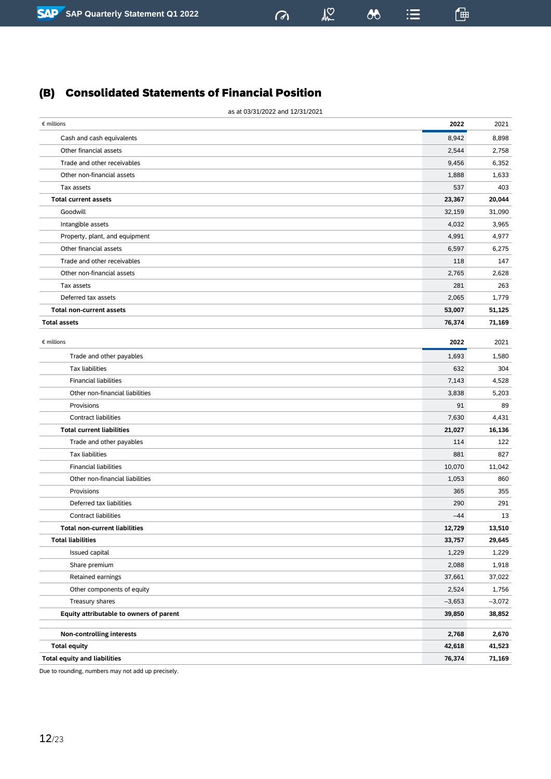# <span id="page-11-0"></span>(B) Consolidated Statements of Financial Position

| as at 03/31/2022 and 12/31/2021                                     |                |                 |
|---------------------------------------------------------------------|----------------|-----------------|
| $\epsilon$ millions                                                 | 2022           | 2021            |
| Cash and cash equivalents                                           | 8,942          | 8,898           |
| Other financial assets                                              | 2,544          | 2,758           |
| Trade and other receivables                                         | 9,456          | 6,352           |
| Other non-financial assets                                          | 1,888          | 1,633           |
| Tax assets                                                          | 537            | 403             |
| <b>Total current assets</b>                                         | 23,367         | 20,044          |
| Goodwill                                                            | 32,159         | 31,090          |
| Intangible assets                                                   | 4,032          | 3,965           |
| Property, plant, and equipment                                      | 4,991          | 4,977           |
| Other financial assets                                              | 6,597          | 6,275           |
| Trade and other receivables                                         | 118            | 147             |
| Other non-financial assets                                          | 2,765          | 2,628           |
| Tax assets                                                          | 281            | 263             |
| Deferred tax assets                                                 | 2,065          | 1,779           |
| <b>Total non-current assets</b>                                     | 53,007         | 51,125          |
| <b>Total assets</b>                                                 | 76,374         | 71,169          |
| $\epsilon$ millions                                                 | 2022           | 2021            |
| Trade and other payables                                            | 1,693          | 1,580           |
| <b>Tax liabilities</b>                                              | 632            | 304             |
| <b>Financial liabilities</b>                                        | 7,143          | 4,528           |
| Other non-financial liabilities                                     | 3,838          | 5,203           |
| Provisions                                                          | 91             | 89              |
| <b>Contract liabilities</b>                                         | 7,630          |                 |
| <b>Total current liabilities</b>                                    |                | 4,431           |
|                                                                     | 21,027         | 16,136<br>122   |
| Trade and other payables<br><b>Tax liabilities</b>                  | 114<br>881     | 827             |
| <b>Financial liabilities</b>                                        | 10,070         | 11,042          |
| Other non-financial liabilities                                     |                | 860             |
| Provisions                                                          | 1,053<br>365   | 355             |
| Deferred tax liabilities                                            | 290            | 291             |
|                                                                     | $-44$          |                 |
| <b>Contract liabilities</b><br><b>Total non-current liabilities</b> | 12,729         | 13<br>13,510    |
| <b>Total liabilities</b>                                            |                | 29,645          |
| Issued capital                                                      | 33,757         |                 |
| Share premium                                                       | 1,229<br>2,088 | 1,229           |
| Retained earnings                                                   | 37,661         | 1,918<br>37,022 |
|                                                                     |                |                 |
| Other components of equity                                          | 2,524          | 1,756           |
| Treasury shares                                                     | $-3,653$       | $-3,072$        |
| Equity attributable to owners of parent                             | 39,850         | 38,852          |
| <b>Non-controlling interests</b>                                    | 2,768          | 2,670           |
| <b>Total equity</b>                                                 | 42,618         | 41,523          |
| <b>Total equity and liabilities</b>                                 | 76,374         | 71,169          |

 $\sqrt{2}$ 

 $\sigma$ 

 $\lambda$ 

 $\mathbf{H}$ 

 $\mathbb{F}$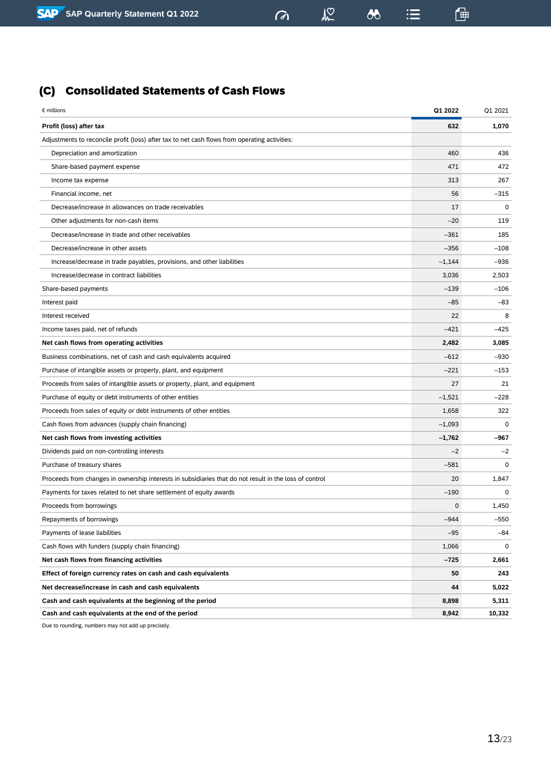# $\omega$

 $\sqrt{2}$ 

 $\infty$ 

 $\equiv$ 

 $\mathbb{G}$ 

<span id="page-12-0"></span>(C) Consolidated Statements of Cash Flows

| € millions                                                                                             | Q1 2022  | Q1 2021 |
|--------------------------------------------------------------------------------------------------------|----------|---------|
| Profit (loss) after tax                                                                                | 632      | 1,070   |
| Adjustments to reconcile profit (loss) after tax to net cash flows from operating activities:          |          |         |
| Depreciation and amortization                                                                          | 460      | 436     |
| Share-based payment expense                                                                            | 471      | 472     |
| Income tax expense                                                                                     | 313      | 267     |
| Financial income, net                                                                                  | 56       | $-315$  |
| Decrease/increase in allowances on trade receivables                                                   | 17       | 0       |
| Other adjustments for non-cash items                                                                   | $-20$    | 119     |
| Decrease/increase in trade and other receivables                                                       | $-361$   | 185     |
| Decrease/increase in other assets                                                                      | $-356$   | $-108$  |
| Increase/decrease in trade payables, provisions, and other liabilities                                 | $-1,144$ | $-936$  |
| Increase/decrease in contract liabilities                                                              | 3,036    | 2,503   |
| Share-based payments                                                                                   | $-139$   | $-106$  |
| Interest paid                                                                                          | $-85$    | $-83$   |
| Interest received                                                                                      | 22       | 8       |
| Income taxes paid, net of refunds                                                                      | $-421$   | $-425$  |
| Net cash flows from operating activities                                                               | 2,482    | 3,085   |
| Business combinations, net of cash and cash equivalents acquired                                       | $-612$   | $-930$  |
| Purchase of intangible assets or property, plant, and equipment                                        | $-221$   | $-153$  |
| Proceeds from sales of intangible assets or property, plant, and equipment                             | 27       | 21      |
| Purchase of equity or debt instruments of other entities                                               | $-1,521$ | $-228$  |
| Proceeds from sales of equity or debt instruments of other entities                                    | 1,658    | 322     |
| Cash flows from advances (supply chain financing)                                                      | $-1,093$ | 0       |
| Net cash flows from investing activities                                                               | $-1,762$ | $-967$  |
| Dividends paid on non-controlling interests                                                            | $-2$     | $-2$    |
| Purchase of treasury shares                                                                            | $-581$   | 0       |
| Proceeds from changes in ownership interests in subsidiaries that do not result in the loss of control | 20       | 1,847   |
| Payments for taxes related to net share settlement of equity awards                                    | $-190$   | 0       |
| Proceeds from borrowings                                                                               | 0        | 1,450   |
| Repayments of borrowings                                                                               | $-944$   | $-550$  |
| Payments of lease liabilities                                                                          | $-95$    | -84     |
| Cash flows with funders (supply chain financing)                                                       | 1,066    | 0       |
| Net cash flows from financing activities                                                               | -725     | 2,661   |
| Effect of foreign currency rates on cash and cash equivalents                                          | 50       | 243     |
| Net decrease/increase in cash and cash equivalents                                                     | 44       | 5,022   |
| Cash and cash equivalents at the beginning of the period                                               | 8,898    | 5,311   |
| Cash and cash equivalents at the end of the period                                                     | 8,942    | 10,332  |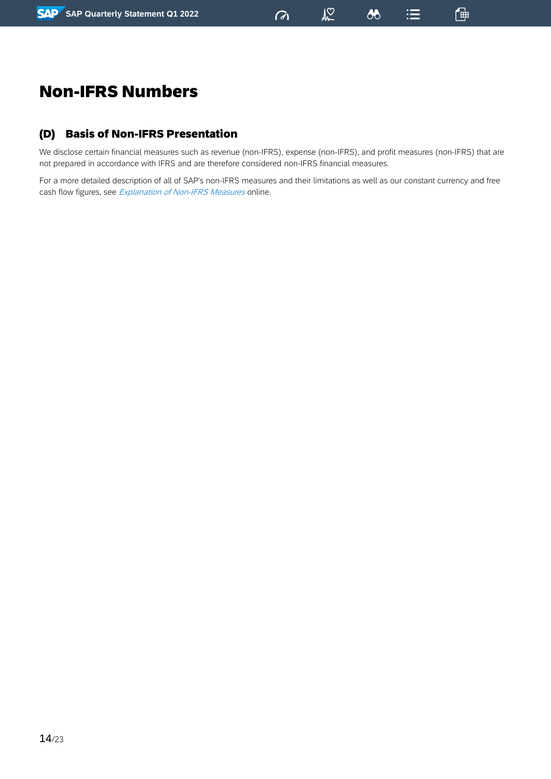$\boldsymbol{\omega}$ 

 $\mathrel{\mathop:}=$ 

一

# <span id="page-13-0"></span>Non-IFRS Numbers

# <span id="page-13-1"></span>(D) Basis of Non-IFRS Presentation

We disclose certain financial measures such as revenue (non-IFRS), expense (non-IFRS), and profit measures (non-IFRS) that are not prepared in accordance with IFRS and are therefore considered non-IFRS financial measures.

For a more detailed description of all of SAP's non-IFRS measures and their limitations as well as our constant currency and free cash flow figures, see *[Explanation](http://www.sap.com/investors/sap-non-ifrs-measures) of Non-IFRS Measures* online.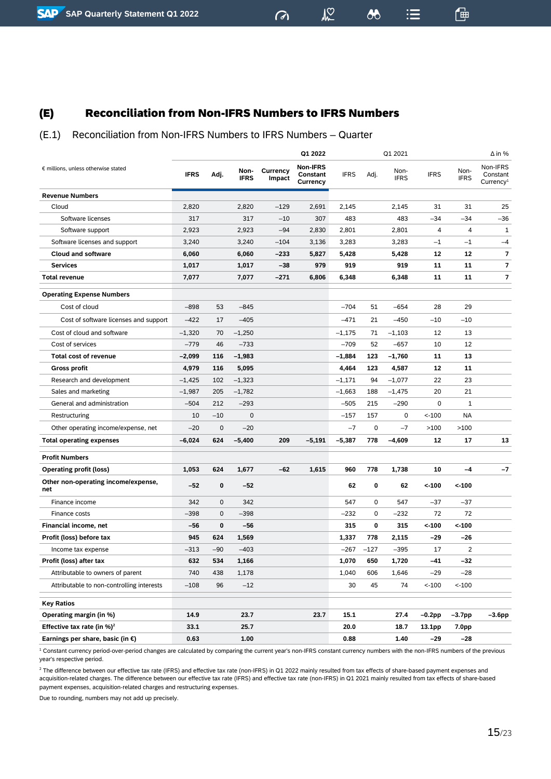<span id="page-14-0"></span>(E) Reconciliation from Non-IFRS Numbers to IFRS Numbers

 $M<sup>2</sup>$ 

 $\boldsymbol{\delta\delta}$ 

 $\mathrel{\mathop:}=$ 

 $\sigma$ 

一

### (E.1) Reconciliation from Non-IFRS Numbers to IFRS Numbers – Quarter

|                                            |             |             |                     |                    | Q1 2022                                        |             |             | Q1 2021             |             |                     | $\Delta$ in %                                 |
|--------------------------------------------|-------------|-------------|---------------------|--------------------|------------------------------------------------|-------------|-------------|---------------------|-------------|---------------------|-----------------------------------------------|
| € millions, unless otherwise stated        | <b>IFRS</b> | Adj.        | Non-<br><b>IFRS</b> | Currency<br>Impact | <b>Non-IFRS</b><br><b>Constant</b><br>Currency | <b>IFRS</b> | Adj.        | Non-<br><b>IFRS</b> | <b>IFRS</b> | Non-<br><b>IFRS</b> | Non-IFRS<br>Constant<br>Currence <sub>1</sub> |
| <b>Revenue Numbers</b>                     |             |             |                     |                    |                                                |             |             |                     |             |                     |                                               |
| Cloud                                      | 2,820       |             | 2,820               | $-129$             | 2,691                                          | 2,145       |             | 2,145               | 31          | 31                  | 25                                            |
| Software licenses                          | 317         |             | 317                 | $-10$              | 307                                            | 483         |             | 483                 | $-34$       | $-34$               | $-36$                                         |
| Software support                           | 2,923       |             | 2,923               | $-94$              | 2,830                                          | 2,801       |             | 2,801               | 4           | 4                   | $\mathbf{1}$                                  |
| Software licenses and support              | 3,240       |             | 3,240               | $-104$             | 3,136                                          | 3,283       |             | 3,283               | $-1$        | $-1$                | $-4$                                          |
| <b>Cloud and software</b>                  | 6,060       |             | 6,060               | $-233$             | 5,827                                          | 5,428       |             | 5,428               | 12          | 12                  | 7                                             |
| <b>Services</b>                            | 1,017       |             | 1,017               | $-38$              | 979                                            | 919         |             | 919                 | 11          | 11                  | 7                                             |
| <b>Total revenue</b>                       | 7,077       |             | 7,077               | $-271$             | 6,806                                          | 6,348       |             | 6,348               | 11          | 11                  | 7                                             |
| <b>Operating Expense Numbers</b>           |             |             |                     |                    |                                                |             |             |                     |             |                     |                                               |
| Cost of cloud                              | $-898$      | 53          | $-845$              |                    |                                                | $-704$      | 51          | $-654$              | 28          | 29                  |                                               |
| Cost of software licenses and support      | $-422$      | 17          | $-405$              |                    |                                                | $-471$      | 21          | $-450$              | $-10$       | $-10$               |                                               |
| Cost of cloud and software                 | $-1,320$    | 70          | $-1,250$            |                    |                                                | $-1,175$    | 71          | $-1,103$            | 12          | 13                  |                                               |
| Cost of services                           | $-779$      | 46          | $-733$              |                    |                                                | -709        | 52          | $-657$              | 10          | 12                  |                                               |
| <b>Total cost of revenue</b>               | $-2,099$    | 116         | $-1,983$            |                    |                                                | $-1,884$    | 123         | $-1,760$            | 11          | 13                  |                                               |
| Gross profit                               | 4,979       | 116         | 5,095               |                    |                                                | 4,464       | 123         | 4,587               | 12          | 11                  |                                               |
| Research and development                   | $-1,425$    | 102         | $-1,323$            |                    |                                                | $-1,171$    | 94          | $-1,077$            | 22          | 23                  |                                               |
| Sales and marketing                        | $-1,987$    | 205         | $-1,782$            |                    |                                                | $-1,663$    | 188         | $-1,475$            | 20          | 21                  |                                               |
| General and administration                 | $-504$      | 212         | $-293$              |                    |                                                | $-505$      | 215         | $-290$              | 0           | 1                   |                                               |
| Restructuring                              | 10          | $-10$       | $\mathbf 0$         |                    |                                                | $-157$      | 157         | 0                   | $< -100$    | <b>NA</b>           |                                               |
| Other operating income/expense, net        | $-20$       | 0           | $-20$               |                    |                                                | $-7$        | $\mathsf 0$ | $-7$                | >100        | >100                |                                               |
| <b>Total operating expenses</b>            | -6,024      | 624         | $-5,400$            | 209                | $-5,191$                                       | $-5,387$    | 778         | $-4,609$            | 12          | 17                  | 13                                            |
| <b>Profit Numbers</b>                      |             |             |                     |                    |                                                |             |             |                     |             |                     |                                               |
| <b>Operating profit (loss)</b>             | 1,053       | 624         | 1,677               | $-62$              | 1,615                                          | 960         | 778         | 1,738               | 10          | $-4$                | $-7$                                          |
| Other non-operating income/expense,<br>net | $-52$       | 0           | -52                 |                    |                                                | 62          | 0           | 62                  | $< -100$    | $< -100$            |                                               |
| Finance income                             | 342         | $\mathbf 0$ | 342                 |                    |                                                | 547         | 0           | 547                 | $-37$       | $-37$               |                                               |
| Finance costs                              | $-398$      | $\mathbf 0$ | $-398$              |                    |                                                | -232        | 0           | $-232$              | 72          | 72                  |                                               |
| <b>Financial income, net</b>               | -56         | 0           | -56                 |                    |                                                | 315         | 0           | 315                 | $< -100$    | $< -100$            |                                               |
| Profit (loss) before tax                   | 945         | 624         | 1,569               |                    |                                                | 1,337       | 778         | 2,115               | -29         | -26                 |                                               |
| Income tax expense                         | $-313$      | $-90$       | $-403$              |                    |                                                | $-267$      | $-127$      | $-395$              | 17          | 2                   |                                               |
| Profit (loss) after tax                    | 632         | 534         | 1,166               |                    |                                                | 1,070       | 650         | 1,720               | -41         | $-32$               |                                               |
| Attributable to owners of parent           | 740         | 438         | 1,178               |                    |                                                | 1,040       | 606         | 1,646               | $-29$       | $-28$               |                                               |
| Attributable to non-controlling interests  | $-108$      | 96          | $-12$               |                    |                                                | 30          | 45          | 74                  | $< -100$    | $< -100$            |                                               |
| <b>Key Ratios</b>                          |             |             |                     |                    |                                                |             |             |                     |             |                     |                                               |
| Operating margin (in %)                    | 14.9        |             | 23.7                |                    | 23.7                                           | 15.1        |             | 27.4                | –0.2pp      | $-3.7$ pp           | –3.6pp                                        |
| Effective tax rate (in $%$ ) <sup>2</sup>  | 33.1        |             | 25.7                |                    |                                                | 20.0        |             | 18.7                | 13.1pp      | 7.0pp               |                                               |
| Earnings per share, basic (in $\epsilon$ ) | 0.63        |             | 1.00                |                    |                                                | 0.88        |             | 1.40                | -29         | $-28$               |                                               |

<sup>1</sup> Constant currency period-over-period changes are calculated by comparing the current year's non-IFRS constant currency numbers with the non-IFRS numbers of the previous year's respective period.

<sup>2</sup> The difference between our effective tax rate (IFRS) and effective tax rate (non-IFRS) in Q1 2022 mainly resulted from tax effects of share-based payment expenses and acquisition-related charges. The difference between our effective tax rate (IFRS) and effective tax rate (non-IFRS) in Q1 2021 mainly resulted from tax effects of share-based payment expenses, acquisition-related charges and restructuring expenses.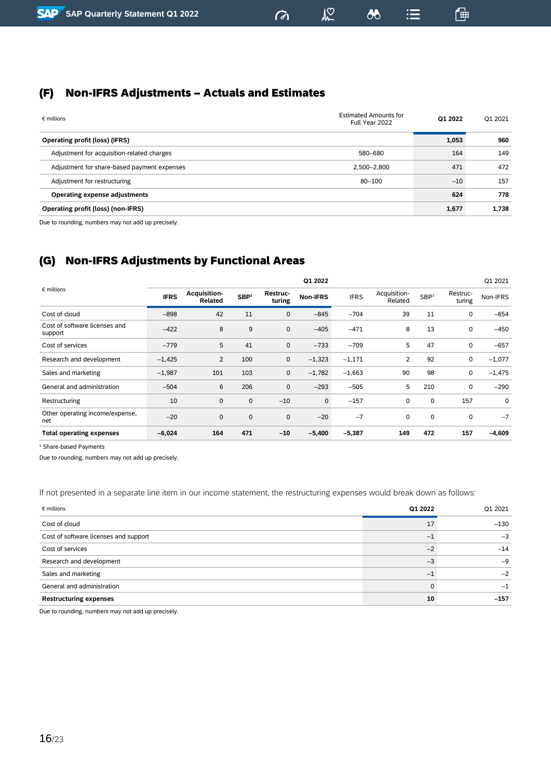# <span id="page-15-0"></span>(F) Non-IFRS Adjustments – Actuals and Estimates

| $\epsilon$ millions                         | <b>Estimated Amounts for</b><br>Full Year 2022 | Q1 2022 | Q1 2021 |
|---------------------------------------------|------------------------------------------------|---------|---------|
| <b>Operating profit (loss) (IFRS)</b>       |                                                | 1,053   | 960     |
| Adjustment for acquisition-related charges  | 580-680                                        | 164     | 149     |
| Adjustment for share-based payment expenses | 2,500-2,800                                    | 471     | 472     |
| Adjustment for restructuring                | $80 - 100$                                     | $-10$   | 157     |
| <b>Operating expense adjustments</b>        |                                                | 624     | 778     |
| <b>Operating profit (loss) (non-IFRS)</b>   |                                                | 1,677   | 1,738   |
|                                             |                                                |         |         |

 $\sigma$ 

 $M<sup>o</sup>$ 

 $\boldsymbol{\omega}$ 

 $\mathrel{\mathop:}=$ 

一

Due to rounding, numbers may not add up precisely.

# <span id="page-15-1"></span>(G) Non-IFRS Adjustments by Functional Areas

|                                          |             |                                |                  |                    | Q1 2022     |             |                         |                  |                    | Q1 2021  |
|------------------------------------------|-------------|--------------------------------|------------------|--------------------|-------------|-------------|-------------------------|------------------|--------------------|----------|
| $\epsilon$ millions                      | <b>IFRS</b> | <b>Acquisition-</b><br>Related | SBP <sup>1</sup> | Restruc-<br>turing | Non-IFRS    | <b>IFRS</b> | Acquisition-<br>Related | SBP <sup>1</sup> | Restruc-<br>turing | Non-IFRS |
| Cost of cloud                            | $-898$      | 42                             | 11               | 0                  | $-845$      | $-704$      | 39                      | 11               | 0                  | $-654$   |
| Cost of software licenses and<br>support | $-422$      | 8                              | 9                | $\mathbf 0$        | $-405$      | $-471$      | 8                       | 13               | 0                  | $-450$   |
| Cost of services                         | $-779$      | 5                              | 41               | $\mathbf 0$        | $-733$      | $-709$      | 5                       | 47               | 0                  | $-657$   |
| Research and development                 | $-1,425$    | 2                              | 100              | 0                  | $-1,323$    | $-1,171$    | 2                       | 92               | 0                  | $-1,077$ |
| Sales and marketing                      | $-1,987$    | 101                            | 103              | $\mathbf 0$        | $-1,782$    | $-1,663$    | 90                      | 98               | 0                  | $-1,475$ |
| General and administration               | $-504$      | 6                              | 206              | 0                  | $-293$      | $-505$      | 5                       | 210              | 0                  | $-290$   |
| Restructuring                            | 10          | $\mathbf 0$                    | $\mathbf 0$      | $-10$              | $\mathbf 0$ | $-157$      | 0                       | 0                | 157                | 0        |
| Other operating income/expense,<br>net   | $-20$       | $\mathbf 0$                    | $\mathbf 0$      | $\mathbf 0$        | $-20$       | $-7$        | $\mathbf 0$             | 0                | 0                  | $-7$     |
| <b>Total operating expenses</b>          | $-6,024$    | 164                            | 471              | $-10$              | $-5,400$    | $-5,387$    | 149                     | 472              | 157                | $-4,609$ |

<sup>1</sup> Share-based Payments

Due to rounding, numbers may not add up precisely.

### If not presented in a separate line item in our income statement, the restructuring expenses would break down as follows:

| $\epsilon$ millions                   | Q1 2022 | Q1 2021 |
|---------------------------------------|---------|---------|
| Cost of cloud                         | 17      | $-130$  |
| Cost of software licenses and support | $-1$    | $-3$    |
| Cost of services                      | $-2$    | $-14$   |
| Research and development              | $-3$    | $-9$    |
| Sales and marketing                   | н.      | $-2$    |
| General and administration            | 0       | -1      |
| <b>Restructuring expenses</b>         | 10      | $-157$  |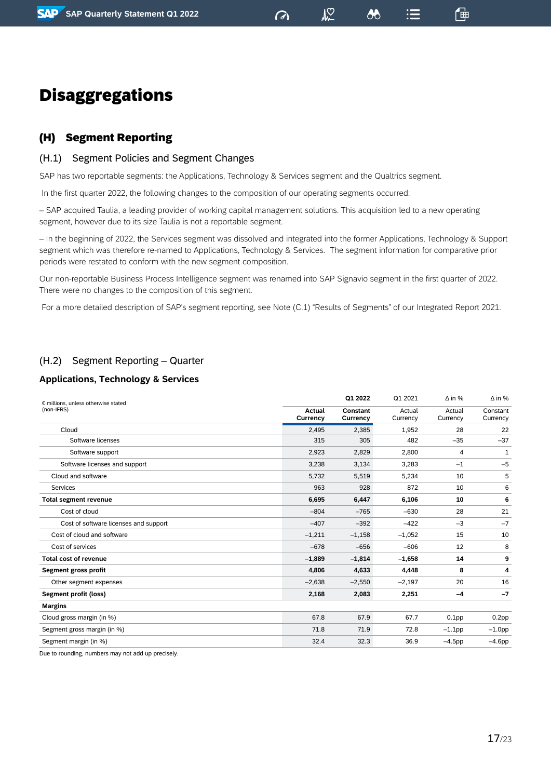$\sqrt{2}$ 

 $:=$ 

一曲

# <span id="page-16-0"></span>Disaggregations

# <span id="page-16-1"></span>(H) Segment Reporting

### (H.1) Segment Policies and Segment Changes

SAP has two reportable segments: the Applications, Technology & Services segment and the Qualtrics segment.

In the first quarter 2022, the following changes to the composition of our operating segments occurred:

– SAP acquired Taulia, a leading provider of working capital management solutions. This acquisition led to a new operating segment, however due to its size Taulia is not a reportable segment.

– In the beginning of 2022, the Services segment was dissolved and integrated into the former Applications, Technology & Support segment which was therefore re-named to Applications, Technology & Services. The segment information for comparative prior periods were restated to conform with the new segment composition.

Our non-reportable Business Process Intelligence segment was renamed into SAP Signavio segment in the first quarter of 2022. There were no changes to the composition of this segment.

For a more detailed description of SAP's segment reporting, see Note (C.1) "Results of Segments" of our Integrated Report 2021.

# (H.2) Segment Reporting – Quarter

### **Applications, Technology & Services**

| € millions, unless otherwise stated   |                           | Q1 2022                     | Q1 2021            | $\Delta$ in %      | $\Delta$ in %        |
|---------------------------------------|---------------------------|-----------------------------|--------------------|--------------------|----------------------|
| (non-IFRS)                            | <b>Actual</b><br>Currency | <b>Constant</b><br>Currency | Actual<br>Currency | Actual<br>Currency | Constant<br>Currency |
| Cloud                                 | 2,495                     | 2,385                       | 1,952              | 28                 | 22                   |
| Software licenses                     | 315                       | 305                         | 482                | $-35$              | $-37$                |
| Software support                      | 2,923                     | 2,829                       | 2,800              | 4                  | 1                    |
| Software licenses and support         | 3,238                     | 3,134                       | 3,283              | $-1$               | $-5$                 |
| Cloud and software                    | 5,732                     | 5,519                       | 5,234              | 10                 | 5                    |
| Services                              | 963                       | 928                         | 872                | 10                 | 6                    |
| <b>Total segment revenue</b>          | 6,695                     | 6,447                       | 6,106              | 10                 | 6                    |
| Cost of cloud                         | $-804$                    | $-765$                      | $-630$             | 28                 | 21                   |
| Cost of software licenses and support | $-407$                    | $-392$                      | $-422$             | $-3$               | $-7$                 |
| Cost of cloud and software            | $-1,211$                  | $-1,158$                    | $-1,052$           | 15                 | 10                   |
| Cost of services                      | $-678$                    | $-656$                      | $-606$             | 12                 | 8                    |
| <b>Total cost of revenue</b>          | $-1,889$                  | $-1,814$                    | $-1,658$           | 14                 | 9                    |
| Segment gross profit                  | 4,806                     | 4,633                       | 4,448              | 8                  | 4                    |
| Other segment expenses                | $-2,638$                  | $-2,550$                    | $-2,197$           | 20                 | 16                   |
| <b>Segment profit (loss)</b>          | 2,168                     | 2,083                       | 2,251              | $-4$               | $-7$                 |
| <b>Margins</b>                        |                           |                             |                    |                    |                      |
| Cloud gross margin (in %)             | 67.8                      | 67.9                        | 67.7               | 0.1 <sub>pp</sub>  | 0.2 <sub>pp</sub>    |
| Segment gross margin (in %)           | 71.8                      | 71.9                        | 72.8               | $-1.1$ pp          | $-1.0$ pp            |
| Segment margin (in %)                 | 32.4                      | 32.3                        | 36.9               | $-4.5$ pp          | $-4.6$ pp            |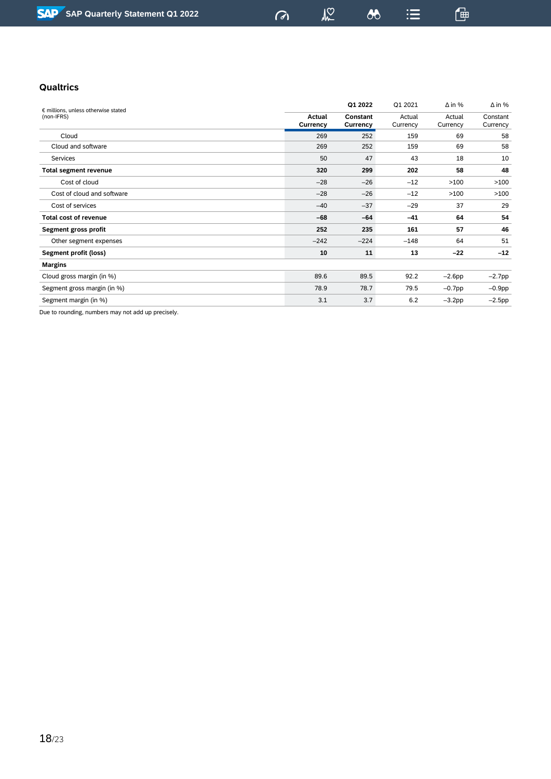$\omega$ 

 $\lambda$ 

 $\sqrt{2}$ 

 $\mathrel{\mathop:}=$ 

 $\mathbb{G}$ 

### **Qualtrics**

| € millions, unless otherwise stated |                    | Q1 2022              | Q1 2021            | $\Delta$ in %      | $\Delta$ in %        |
|-------------------------------------|--------------------|----------------------|--------------------|--------------------|----------------------|
| (non-IFRS)                          | Actual<br>Currency | Constant<br>Currency | Actual<br>Currency | Actual<br>Currency | Constant<br>Currency |
| Cloud                               | 269                | 252                  | 159                | 69                 | 58                   |
| Cloud and software                  | 269                | 252                  | 159                | 69                 | 58                   |
| Services                            | 50                 | 47                   | 43                 | 18                 | 10                   |
| <b>Total segment revenue</b>        | 320                | 299                  | 202                | 58                 | 48                   |
| Cost of cloud                       | $-28$              | $-26$                | $-12$              | >100               | >100                 |
| Cost of cloud and software          | $-28$              | $-26$                | $-12$              | >100               | >100                 |
| Cost of services                    | $-40$              | $-37$                | $-29$              | 37                 | 29                   |
| <b>Total cost of revenue</b>        | $-68$              | $-64$                | $-41$              | 64                 | 54                   |
| Segment gross profit                | 252                | 235                  | 161                | 57                 | 46                   |
| Other segment expenses              | $-242$             | $-224$               | $-148$             | 64                 | 51                   |
| Segment profit (loss)               | 10                 | 11                   | 13                 | $-22$              | $-12$                |
| <b>Margins</b>                      |                    |                      |                    |                    |                      |
| Cloud gross margin (in %)           | 89.6               | 89.5                 | 92.2               | $-2.6$ pp          | $-2.7$ pp            |
| Segment gross margin (in %)         | 78.9               | 78.7                 | 79.5               | $-0.7$ pp          | $-0.9$ pp            |
| Segment margin (in %)               | 3.1                | 3.7                  | 6.2                | $-3.2$ pp          | $-2.5$ pp            |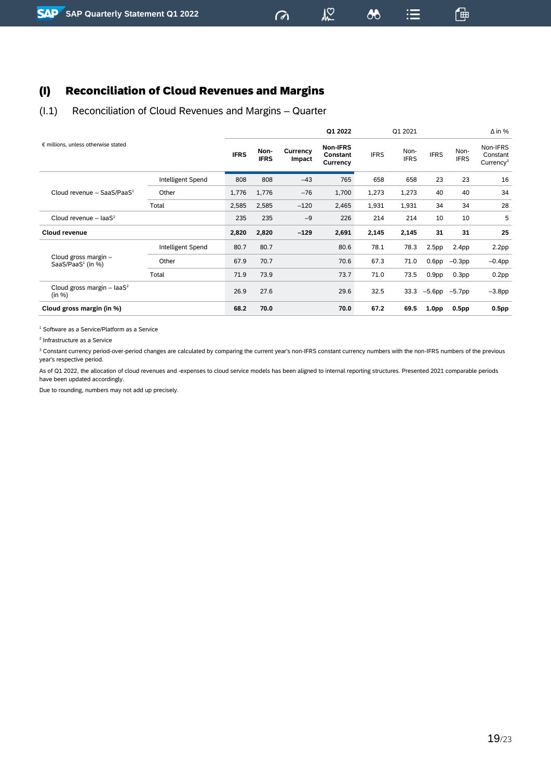# <span id="page-18-0"></span>(I) Reconciliation of Cloud Revenues and Margins

### (I.1) Reconciliation of Cloud Revenues and Margins – Quarter

|                                                  |                   |             |                     | Q1 2022            |                                         | Q1 2021     |                     |                   | $\Delta$ in %       |                                               |
|--------------------------------------------------|-------------------|-------------|---------------------|--------------------|-----------------------------------------|-------------|---------------------|-------------------|---------------------|-----------------------------------------------|
| € millions, unless otherwise stated              |                   | <b>IFRS</b> | Non-<br><b>IFRS</b> | Currency<br>Impact | <b>Non-IFRS</b><br>Constant<br>Currency | <b>IFRS</b> | Non-<br><b>IFRS</b> | <b>IFRS</b>       | Non-<br><b>IFRS</b> | Non-IFRS<br>Constant<br>Currency <sup>3</sup> |
|                                                  | Intelligent Spend | 808         | 808                 | $-43$              | 765                                     | 658         | 658                 | 23                | 23                  | 16                                            |
| Cloud revenue - SaaS/PaaS $1$                    | Other             | 1,776       | 1,776               | $-76$              | 1,700                                   | 1,273       | 1,273               | 40                | 40                  | 34                                            |
|                                                  | Total             | 2,585       | 2,585               | $-120$             | 2,465                                   | 1,931       | 1,931               | 34                | 34                  | 28                                            |
| Cloud revenue $-$ laaS <sup>2</sup>              |                   | 235         | 235                 | $-9$               | 226                                     | 214         | 214                 | 10                | 10                  | 5                                             |
| Cloud revenue                                    |                   | 2,820       | 2,820               | $-129$             | 2,691                                   | 2,145       | 2,145               | 31                | 31                  | 25                                            |
|                                                  | Intelligent Spend | 80.7        | 80.7                |                    | 80.6                                    | 78.1        | 78.3                | 2.5 <sub>pp</sub> | 2.4 <sub>pp</sub>   | 2.2 <sub>pp</sub>                             |
| Cloud gross margin -<br>SaaS/PaaS $1$ (in $\%$ ) | Other             | 67.9        | 70.7                |                    | 70.6                                    | 67.3        | 71.0                | 0.6 <sub>pp</sub> | $-0.3$ pp           | $-0.4$ pp                                     |
|                                                  | Total             | 71.9        | 73.9                |                    | 73.7                                    | 71.0        | 73.5                | 0.9 <sub>pp</sub> | 0.3 <sub>pp</sub>   | 0.2pp                                         |
| Cloud gross margin - laaS <sup>2</sup><br>(in %) |                   | 26.9        | 27.6                |                    | 29.6                                    | 32.5        | 33.3                | $-5.6$ pp         | $-5.7$ pp           | $-3.8$ pp                                     |
| Cloud gross margin (in %)                        |                   | 68.2        | 70.0                |                    | 70.0                                    | 67.2        | 69.5                | 1.0 <sub>pp</sub> | 0.5 <sub>pp</sub>   | 0.5 <sub>pp</sub>                             |

 $M<sup>2</sup>$ 

 $\boldsymbol{\omega}$ 

 $\mathrel{\mathop:}=$ 

 $\sigma$ 

一

<sup>1</sup> Software as a Service/Platform as a Service

2 Infrastructure as a Service

<sup>3</sup> Constant currency period-over-period changes are calculated by comparing the current year's non-IFRS constant currency numbers with the non-IFRS numbers of the previous year's respective period.

As of Q1 2022, the allocation of cloud revenues and -expenses to cloud service models has been aligned to internal reporting structures. Presented 2021 comparable periods have been updated accordingly.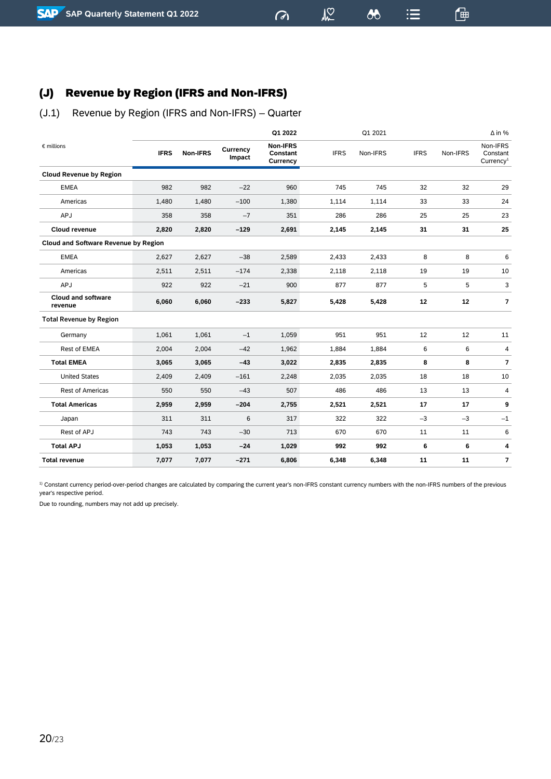# <span id="page-19-0"></span>(J) Revenue by Region (IFRS and Non-IFRS)

# (J.1) Revenue by Region (IFRS and Non-IFRS) – Quarter

|                                             |             |          |                    | Q1 2022                                 |             | Q1 2021  |             |          | $\Delta$ in %                                 |
|---------------------------------------------|-------------|----------|--------------------|-----------------------------------------|-------------|----------|-------------|----------|-----------------------------------------------|
| $\epsilon$ millions                         | <b>IFRS</b> | Non-IFRS | Currency<br>Impact | <b>Non-IFRS</b><br>Constant<br>Currency | <b>IFRS</b> | Non-IFRS | <b>IFRS</b> | Non-IFRS | Non-IFRS<br>Constant<br>Currency <sup>1</sup> |
| <b>Cloud Revenue by Region</b>              |             |          |                    |                                         |             |          |             |          |                                               |
| <b>EMEA</b>                                 | 982         | 982      | $-22$              | 960                                     | 745         | 745      | 32          | 32       | 29                                            |
| Americas                                    | 1,480       | 1,480    | $-100$             | 1,380                                   | 1,114       | 1,114    | 33          | 33       | 24                                            |
| APJ                                         | 358         | 358      | $-7$               | 351                                     | 286         | 286      | 25          | 25       | 23                                            |
| Cloud revenue                               | 2,820       | 2,820    | $-129$             | 2,691                                   | 2,145       | 2,145    | 31          | 31       | 25                                            |
| <b>Cloud and Software Revenue by Region</b> |             |          |                    |                                         |             |          |             |          |                                               |
| <b>EMEA</b>                                 | 2,627       | 2,627    | $-38$              | 2,589                                   | 2,433       | 2,433    | 8           | 8        | 6                                             |
| Americas                                    | 2,511       | 2,511    | $-174$             | 2,338                                   | 2,118       | 2,118    | 19          | 19       | 10                                            |
| APJ                                         | 922         | 922      | $-21$              | 900                                     | 877         | 877      | 5           | 5        | 3                                             |
| <b>Cloud and software</b><br>revenue        | 6,060       | 6,060    | $-233$             | 5,827                                   | 5,428       | 5,428    | 12          | 12       | $\overline{7}$                                |
| <b>Total Revenue by Region</b>              |             |          |                    |                                         |             |          |             |          |                                               |
| Germany                                     | 1,061       | 1,061    | $-1$               | 1,059                                   | 951         | 951      | 12          | 12       | 11                                            |
| Rest of EMEA                                | 2,004       | 2,004    | $-42$              | 1,962                                   | 1,884       | 1,884    | 6           | 6        | 4                                             |
| <b>Total EMEA</b>                           | 3,065       | 3,065    | $-43$              | 3,022                                   | 2,835       | 2,835    | 8           | 8        | $\overline{7}$                                |
| <b>United States</b>                        | 2,409       | 2,409    | $-161$             | 2,248                                   | 2,035       | 2,035    | 18          | 18       | 10                                            |
| <b>Rest of Americas</b>                     | 550         | 550      | $-43$              | 507                                     | 486         | 486      | 13          | 13       | 4                                             |
| <b>Total Americas</b>                       | 2,959       | 2,959    | $-204$             | 2,755                                   | 2,521       | 2,521    | 17          | 17       | 9                                             |
| Japan                                       | 311         | 311      | 6                  | 317                                     | 322         | 322      | $-3$        | $-3$     | $-1$                                          |
| Rest of APJ                                 | 743         | 743      | $-30$              | 713                                     | 670         | 670      | 11          | 11       | 6                                             |
| <b>Total APJ</b>                            | 1,053       | 1,053    | $-24$              | 1,029                                   | 992         | 992      | 6           | 6        | 4                                             |
| <b>Total revenue</b>                        | 7,077       | 7,077    | $-271$             | 6,806                                   | 6,348       | 6,348    | 11          | 11       | 7                                             |

 $\sqrt{2}$ 

 $\sigma$ 

 $\boldsymbol{\kappa}$ 

 $\equiv$ 

通

<sup>1)</sup> Constant currency period-over-period changes are calculated by comparing the current year's non-IFRS constant currency numbers with the non-IFRS numbers of the previous year's respective period.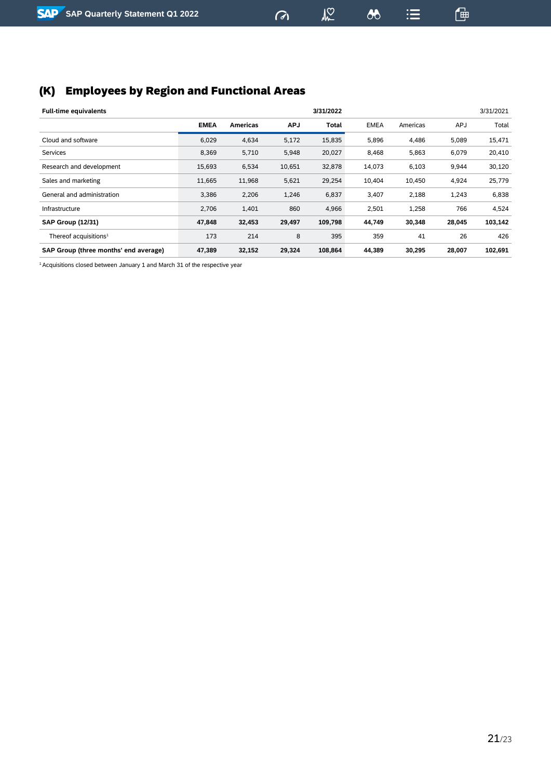# <span id="page-20-0"></span>(K) Employees by Region and Functional Areas

| <b>Full-time equivalents</b>          |             |                 |            | 3/31/2022    |             |          |            | 3/31/2021 |
|---------------------------------------|-------------|-----------------|------------|--------------|-------------|----------|------------|-----------|
|                                       | <b>EMEA</b> | <b>Americas</b> | <b>APJ</b> | <b>Total</b> | <b>EMEA</b> | Americas | <b>APJ</b> | Total     |
| Cloud and software                    | 6,029       | 4,634           | 5,172      | 15,835       | 5,896       | 4,486    | 5,089      | 15,471    |
| <b>Services</b>                       | 8,369       | 5,710           | 5,948      | 20,027       | 8,468       | 5,863    | 6,079      | 20,410    |
| Research and development              | 15,693      | 6,534           | 10,651     | 32,878       | 14,073      | 6,103    | 9,944      | 30,120    |
| Sales and marketing                   | 11,665      | 11,968          | 5,621      | 29,254       | 10,404      | 10,450   | 4,924      | 25,779    |
| General and administration            | 3,386       | 2,206           | 1,246      | 6,837        | 3,407       | 2,188    | 1,243      | 6,838     |
| Infrastructure                        | 2,706       | 1,401           | 860        | 4,966        | 2,501       | 1,258    | 766        | 4,524     |
| <b>SAP Group (12/31)</b>              | 47,848      | 32,453          | 29,497     | 109,798      | 44,749      | 30,348   | 28,045     | 103,142   |
| Thereof acquisitions $1$              | 173         | 214             | 8          | 395          | 359         | 41       | 26         | 426       |
| SAP Group (three months' end average) | 47,389      | 32,152          | 29,324     | 108,864      | 44,389      | 30,295   | 28,007     | 102,691   |

 $\omega$ 

 $\sqrt{2}$ 

 $\infty$ 

 $\equiv$ 

 $\mathbb{G}$ 

<sup>1</sup> Acquisitions closed between January 1 and March 31 of the respective year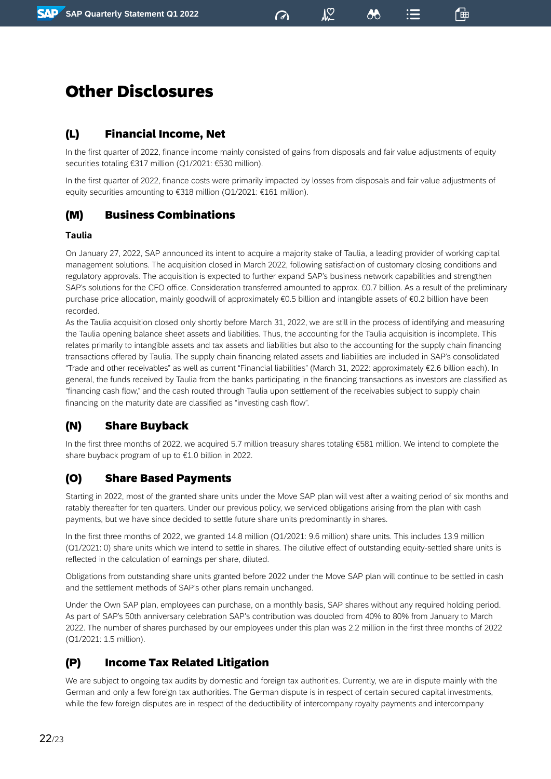$\sqrt{2}$ 

8

一曲

# <span id="page-21-0"></span>Other Disclosures

# <span id="page-21-1"></span>(L) Financial Income, Net

In the first quarter of 2022, finance income mainly consisted of gains from disposals and fair value adjustments of equity securities totaling €317 million (Q1/2021: €530 million).

In the first quarter of 2022, finance costs were primarily impacted by losses from disposals and fair value adjustments of equity securities amounting to €318 million (Q1/2021: €161 million).

# <span id="page-21-2"></span>(M) Business Combinations

### **Taulia**

On January 27, 2022, SAP announced its intent to acquire a majority stake of Taulia, a leading provider of working capital management solutions. The acquisition closed in March 2022, following satisfaction of customary closing conditions and regulatory approvals. The acquisition is expected to further expand SAP's business network capabilities and strengthen SAP's solutions for the CFO office. Consideration transferred amounted to approx. €0.7 billion. As a result of the preliminary purchase price allocation, mainly goodwill of approximately €0.5 billion and intangible assets of €0.2 billion have been recorded.

As the Taulia acquisition closed only shortly before March 31, 2022, we are still in the process of identifying and measuring the Taulia opening balance sheet assets and liabilities. Thus, the accounting for the Taulia acquisition is incomplete. This relates primarily to intangible assets and tax assets and liabilities but also to the accounting for the supply chain financing transactions offered by Taulia. The supply chain financing related assets and liabilities are included in SAP's consolidated "Trade and other receivables" as well as current "Financial liabilities" (March 31, 2022: approximately €2.6 billion each). In general, the funds received by Taulia from the banks participating in the financing transactions as investors are classified as "financing cash flow," and the cash routed through Taulia upon settlement of the receivables subject to supply chain financing on the maturity date are classified as "investing cash flow".

# <span id="page-21-3"></span>(N) Share Buyback

In the first three months of 2022, we acquired 5.7 million treasury shares totaling €581 million. We intend to complete the share buyback program of up to €1.0 billion in 2022.

# <span id="page-21-4"></span>(O) Share Based Payments

Starting in 2022, most of the granted share units under the Move SAP plan will vest after a waiting period of six months and ratably thereafter for ten quarters. Under our previous policy, we serviced obligations arising from the plan with cash payments, but we have since decided to settle future share units predominantly in shares.

In the first three months of 2022, we granted 14.8 million (Q1/2021: 9.6 million) share units. This includes 13.9 million (Q1/2021: 0) share units which we intend to settle in shares. The dilutive effect of outstanding equity-settled share units is reflected in the calculation of earnings per share, diluted.

Obligations from outstanding share units granted before 2022 under the Move SAP plan will continue to be settled in cash and the settlement methods of SAP's other plans remain unchanged.

Under the Own SAP plan, employees can purchase, on a monthly basis, SAP shares without any required holding period. As part of SAP's 50th anniversary celebration SAP's contribution was doubled from 40% to 80% from January to March 2022. The number of shares purchased by our employees under this plan was 2.2 million in the first three months of 2022 (Q1/2021: 1.5 million).

### <span id="page-21-5"></span>(P) Income Tax Related Litigation

We are subject to ongoing tax audits by domestic and foreign tax authorities. Currently, we are in dispute mainly with the German and only a few foreign tax authorities. The German dispute is in respect of certain secured capital investments, while the few foreign disputes are in respect of the deductibility of intercompany royalty payments and intercompany